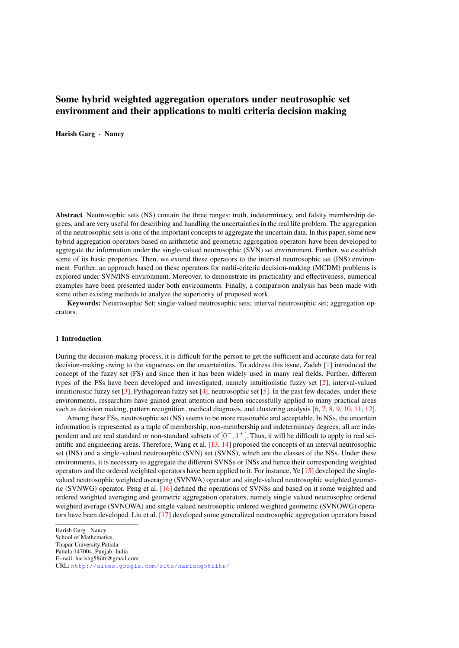# Some hybrid weighted aggregation operators under neutrosophic set environment and their applications to multi criteria decision making

Harish Garg · Nancy

Abstract Neutrosophic sets (NS) contain the three ranges: truth, indeterminacy, and falsity membership degrees, and are very useful for describing and handling the uncertainties in the real life problem. The aggregation of the neutrosophic sets is one of the important concepts to aggregate the uncertain data. In this paper, some new hybrid aggregation operators based on arithmetic and geometric aggregation operators have been developed to aggregate the information under the single-valued neutrosophic (SVN) set environment. Further, we establish some of its basic properties. Then, we extend these operators to the interval neutrosophic set (INS) environment. Further, an approach based on these operators for multi-criteria decision-making (MCDM) problems is explored under SVN/INS environment. Moreover, to demonstrate its practicality and effectiveness, numerical examples have been presented under both environments. Finally, a comparison analysis has been made with some other existing methods to analyze the superiority of proposed work.

Keywords: Neutrosophic Set; single-valued neutrosophic sets; interval neutrosophic set; aggregation operators.

#### 1 Introduction

During the decision-making process, it is difficult for the person to get the sufficient and accurate data for real decision-making owing to the vagueness on the uncertainties. To address this issue, Zadeh [\[1\]](#page-14-0) introduced the concept of the fuzzy set (FS) and since then it has been widely used in many real fields. Further, different types of the FSs have been developed and investigated, namely intuitionistic fuzzy set [\[2\]](#page-14-1), interval-valued intuitionistic fuzzy set [\[3\]](#page-14-2), Pythagorean fuzzy set [\[4\]](#page-14-3), neutrosophic set [\[5\]](#page-14-4). In the past few decades, under these environments, researchers have gained great attention and been successfully applied to many practical areas such as decision making, pattern recognition, medical diagnosis, and clustering analysis [\[6,](#page-14-5) [7,](#page-14-6) [8,](#page-14-7) [9,](#page-14-8) [10,](#page-14-9) [11,](#page-14-10) [12\]](#page-14-11).

Among these FSs, neutrosophic set (NS) seems to be more reasonable and acceptable. In NSs, the uncertain information is represented as a tuple of membership, non-membership and indeterminacy degrees, all are independent and are real standard or non-standard subsets of  $]0^-, 1^+[$ . Thus, it will be difficult to apply in real scientific and engineering areas. Therefore, Wang et al. [\[13,](#page-14-12) [14\]](#page-14-13) proposed the concepts of an interval neutrosophic set (INS) and a single-valued neutrosophic (SVN) set (SVNS), which are the classes of the NSs. Under these environments, it is necessary to aggregate the different SVNSs or INSs and hence their corresponding weighted operators and the ordered weighted operators have been applied to it. For instance, Ye [\[15\]](#page-14-14) developed the singlevalued neutrosophic weighted averaging (SVNWA) operator and single-valued neutrosophic weighted geometric (SVNWG) operator. Peng et al. [\[16\]](#page-14-15) defined the operations of SVNSs and based on it some weighted and ordered weighted averaging and geometric aggregation operators, namely single valued neutrosophic ordered weighted average (SVNOWA) and single valued neutrosophic ordered weighted geometric (SVNOWG) operators have been developed. Liu et al. [\[17\]](#page-14-16) developed some generalized neutrosophic aggregation operators based

Patiala 147004, Punjab, India

Harish Garg · Nancy

School of Mathematics, Thapar University Patiala

E-mail: harishg58iitr@gmail.com

URL: <http://sites.google.com/site/harishg58iitr/>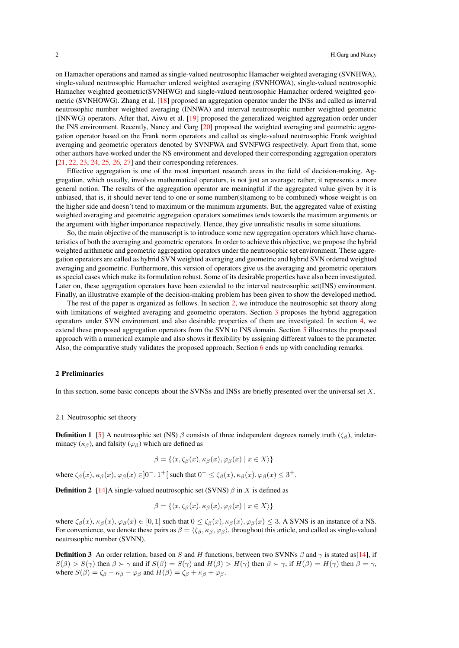on Hamacher operations and named as single-valued neutrosophic Hamacher weighted averaging (SVNHWA), single-valued neutrosophic Hamacher ordered weighted averaging (SVNHOWA), single-valued neutrosophic Hamacher weighted geometric(SVNHWG) and single-valued neutrosophic Hamacher ordered weighted geometric (SVNHOWG). Zhang et al. [\[18\]](#page-14-17) proposed an aggregation operator under the INSs and called as interval neutrosophic number weighted averaging (INNWA) and interval neutrosophic number weighted geometric (INNWG) operators. After that, Aiwu et al. [\[19\]](#page-14-18) proposed the generalized weighted aggregation order under the INS environment. Recently, Nancy and Garg [\[20\]](#page-14-19) proposed the weighted averaging and geometric aggregation operator based on the Frank norm operators and called as single-valued neutrosophic Frank weighted averaging and geometric operators denoted by SVNFWA and SVNFWG respectively. Apart from that, some other authors have worked under the NS environment and developed their corresponding aggregation operators [\[21,](#page-14-20) [22,](#page-15-0) [23,](#page-15-1) [24,](#page-15-2) [25,](#page-15-3) [26,](#page-15-4) [27\]](#page-15-5) and their corresponding references.

Effective aggregation is one of the most important research areas in the field of decision-making. Aggregation, which usually, involves mathematical operators, is not just an average; rather, it represents a more general notion. The results of the aggregation operator are meaningful if the aggregated value given by it is unbiased, that is, it should never tend to one or some number(s)(among to be combined) whose weight is on the higher side and doesn't tend to maximum or the minimum arguments. But, the aggregated value of existing weighted averaging and geometric aggregation operators sometimes tends towards the maximum arguments or the argument with higher importance respectively. Hence, they give unrealistic results in some situations.

So, the main objective of the manuscript is to introduce some new aggregation operators which have characteristics of both the averaging and geometric operators. In order to achieve this objective, we propose the hybrid weighted arithmetic and geometric aggregation operators under the neutrosophic set environment. These aggregation operators are called as hybrid SVN weighted averaging and geometric and hybrid SVN ordered weighted averaging and geometric. Furthermore, this version of operators give us the averaging and geometric operators as special cases which make its formulation robust. Some of its desirable properties have also been investigated. Later on, these aggregation operators have been extended to the interval neutrosophic set(INS) environment. Finally, an illustrative example of the decision-making problem has been given to show the developed method.

The rest of the paper is organized as follows. In section [2,](#page-1-0) we introduce the neutrosophic set theory along with limitations of weighted averaging and geometric operators. Section [3](#page-2-0) proposes the hybrid aggregation operators under SVN environment and also desirable properties of them are investigated. In section [4,](#page-9-0) we extend these proposed aggregation operators from the SVN to INS domain. Section [5](#page-10-0) illustrates the proposed approach with a numerical example and also shows it flexibility by assigning different values to the parameter. Also, the comparative study validates the proposed approach. Section [6](#page-13-0) ends up with concluding remarks.

## <span id="page-1-0"></span>2 Preliminaries

In this section, some basic concepts about the SVNSs and INSs are briefly presented over the universal set X.

#### 2.1 Neutrosophic set theory

**Definition 1** [\[5\]](#page-14-4) A neutrosophic set (NS)  $\beta$  consists of three independent degrees namely truth ( $\zeta_{\beta}$ ), indeterminacy ( $\kappa_{\beta}$ ), and falsity ( $\varphi_{\beta}$ ) which are defined as

$$
\beta = \{ \langle x, \zeta_{\beta}(x), \kappa_{\beta}(x), \varphi_{\beta}(x) \mid x \in X \rangle \}
$$

where  $\zeta_{\beta}(x)$ ,  $\kappa_{\beta}(x)$ ,  $\varphi_{\beta}(x) \in ]0^-, 1^+]$  such that  $0^- \leq \zeta_{\beta}(x)$ ,  $\kappa_{\beta}(x)$ ,  $\varphi_{\beta}(x) \leq 3^+$ .

**Definition 2** [\[14\]](#page-14-13)A single-valued neutrosophic set (SVNS)  $\beta$  in X is defined as

$$
\beta = \{ \langle x, \zeta_{\beta}(x), \kappa_{\beta}(x), \varphi_{\beta}(x) \mid x \in X \rangle \}
$$

where  $\zeta_{\beta}(x)$ ,  $\kappa_{\beta}(x)$ ,  $\varphi_{\beta}(x) \in [0,1]$  such that  $0 \leq \zeta_{\beta}(x)$ ,  $\kappa_{\beta}(x)$ ,  $\varphi_{\beta}(x) \leq 3$ . A SVNS is an instance of a NS. For convenience, we denote these pairs as  $\beta = \langle \zeta_\beta, \kappa_\beta, \varphi_\beta \rangle$ , throughout this article, and called as single-valued neutrosophic number (SVNN).

**Definition 3** An order relation, based on S and H functions, between two SVNNs  $\beta$  and  $\gamma$  is stated as[\[14\]](#page-14-13), if  $S(\beta) > S(\gamma)$  then  $\beta > \gamma$  and if  $S(\beta) = S(\gamma)$  and  $H(\beta) > H(\gamma)$  then  $\beta > \gamma$ , if  $H(\beta) = H(\gamma)$  then  $\beta = \gamma$ , where  $S(\beta) = \zeta_{\beta} - \kappa_{\beta} - \varphi_{\beta}$  and  $H(\beta) = \zeta_{\beta} + \kappa_{\beta} + \varphi_{\beta}$ .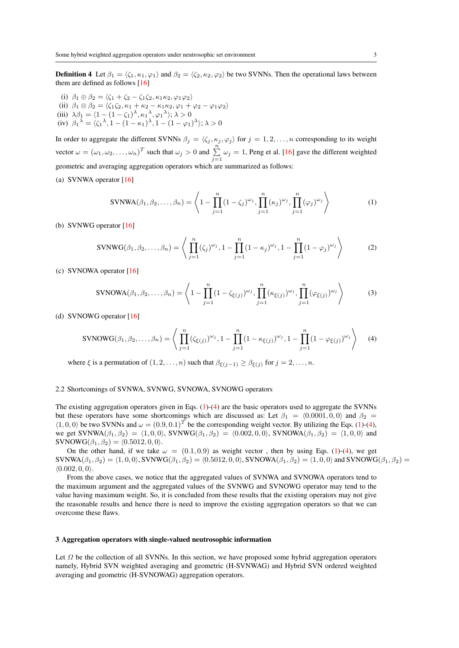**Definition 4** Let  $\beta_1 = \langle \zeta_1, \kappa_1, \varphi_1 \rangle$  and  $\beta_2 = \langle \zeta_2, \kappa_2, \varphi_2 \rangle$  be two SVNNs. Then the operational laws between them are defined as follows [\[16\]](#page-14-15)

- (i)  $\beta_1 \oplus \beta_2 = \langle \zeta_1 + \zeta_2 \zeta_1 \zeta_2, \kappa_1 \kappa_2, \varphi_1 \varphi_2 \rangle$
- (ii)  $\beta_1 \otimes \beta_2 = \langle \zeta_1 \zeta_2, \kappa_1 + \kappa_2 \kappa_1 \kappa_2, \varphi_1 + \varphi_2 \varphi_1 \varphi_2 \rangle$ (iii)  $\lambda \beta_1 = \langle 1 - (1 - \zeta_1)^\lambda, \kappa_1^\lambda, \varphi_1^\lambda \rangle; \lambda > 0$ (iv)  $\beta_1^{\lambda} = \langle \zeta_1^{\lambda}, 1 - (1 - \kappa_1)^{\lambda}, 1 - (1 - \varphi_1)^{\lambda} \rangle; \lambda > 0$

In order to aggregate the different SVNNs  $\beta_i = \langle \zeta_i, \kappa_i, \varphi_i \rangle$  for  $j = 1, 2, ..., n$  corresponding to its weight vector  $\omega = (\omega_1, \omega_2, ..., \omega_n)^T$  such that  $\omega_j > 0$  and  $\sum_{j=1}^n \omega_j = 1$ , Peng et al. [\[16\]](#page-14-15) gave the different weighted geometric and averaging aggregation operators which are summarized as follows:

(a) SVNWA operator [\[16\]](#page-14-15)

<span id="page-2-1"></span>
$$
SVNWA(\beta_1, \beta_2, \dots, \beta_n) = \left\langle 1 - \prod_{j=1}^n (1 - \zeta_j)^{\omega_j}, \prod_{j=1}^n (\kappa_j)^{\omega_j}, \prod_{j=1}^n (\varphi_j)^{\omega_j} \right\rangle
$$
 (1)

(b) SVNWG operator [\[16\]](#page-14-15)

<span id="page-2-3"></span>
$$
SVMWG(\beta_1, \beta_2, ..., \beta_n) = \left\langle \prod_{j=1}^n (\zeta_j)^{\omega_j}, 1 - \prod_{j=1}^n (1 - \kappa_j)^{\omega_j}, 1 - \prod_{j=1}^n (1 - \varphi_j)^{\omega_j} \right\rangle
$$
(2)

(c) SVNOWA operator [\[16\]](#page-14-15)

$$
SVNOWA(\beta_1, \beta_2, \dots, \beta_n) = \left\langle 1 - \prod_{j=1}^n (1 - \zeta_{\xi(j)})^{\omega_j}, \prod_{j=1}^n (\kappa_{\xi(j)})^{\omega_j}, \prod_{j=1}^n (\varphi_{\xi(j)})^{\omega_j} \right\rangle
$$
(3)

(d) SVNOWG operator [\[16\]](#page-14-15)

<span id="page-2-2"></span>
$$
SVNOWG(\beta_1, \beta_2, ..., \beta_n) = \left\langle \prod_{j=1}^n (\zeta_{\xi(j)})^{\omega_j}, 1 - \prod_{j=1}^n (1 - \kappa_{\xi(j)})^{\omega_j}, 1 - \prod_{j=1}^n (1 - \varphi_{\xi(j)})^{\omega_j} \right\rangle \tag{4}
$$

where  $\xi$  is a permutation of  $(1, 2, \ldots, n)$  such that  $\beta_{\xi(j-1)} \geq \beta_{\xi(j)}$  for  $j = 2, \ldots, n$ .

## <span id="page-2-4"></span>2.2 Shortcomings of SVNWA, SVNWG, SVNOWA, SVNOWG operators

The existing aggregation operators given in Eqs. [\(1\)](#page-2-1)-[\(4\)](#page-2-2) are the basic operators used to aggregate the SVNNs but these operators have some shortcomings which are discussed as: Let  $\beta_1 = \langle 0.0001, 0, 0 \rangle$  and  $\beta_2 =$  $\langle 1, 0, 0 \rangle$  be two SVNNs and  $\omega = (0.9, 0.1)^T$  be the corresponding weight vector. By utilizing the Eqs. [\(1\)](#page-2-1)-[\(4\)](#page-2-2), we get SVNWA $(\beta_1, \beta_2) = (1, 0, 0)$ , SVNWG $(\beta_1, \beta_2) = (0.002, 0, 0)$ , SVNOWA $(\beta_1, \beta_2) = (1, 0, 0)$  and SVNOWG $(\beta_1, \beta_2) = (0.5012, 0, 0)$ .

On the other hand, if we take  $\omega = (0.1, 0.9)$  as weight vector, then by using Eqs. [\(1\)](#page-2-1)-[\(4\)](#page-2-2), we get  $SVMWA(\beta_1, \beta_2) = \langle 1, 0, 0 \rangle$ ,  $SVMWG(\beta_1, \beta_2) = \langle 0.5012, 0, 0 \rangle$ ,  $SVNOWA(\beta_1, \beta_2) = \langle 1, 0, 0 \rangle$  and  $SVNOWG(\beta_1, \beta_2) =$  $(0.002, 0, 0)$ .

From the above cases, we notice that the aggregated values of SVNWA and SVNOWA operators tend to the maximum argument and the aggregated values of the SVNWG and SVNOWG operator may tend to the value having maximum weight. So, it is concluded from these results that the existing operators may not give the reasonable results and hence there is need to improve the existing aggregation operators so that we can overcome these flaws.

#### <span id="page-2-0"></span>3 Aggregation operators with single-valued neutrosophic information

Let  $\Omega$  be the collection of all SVNNs. In this section, we have proposed some hybrid aggregation operators namely, Hybrid SVN weighted averaging and geometric (H-SVNWAG) and Hybrid SVN ordered weighted averaging and geometric (H-SVNOWAG) aggregation operators.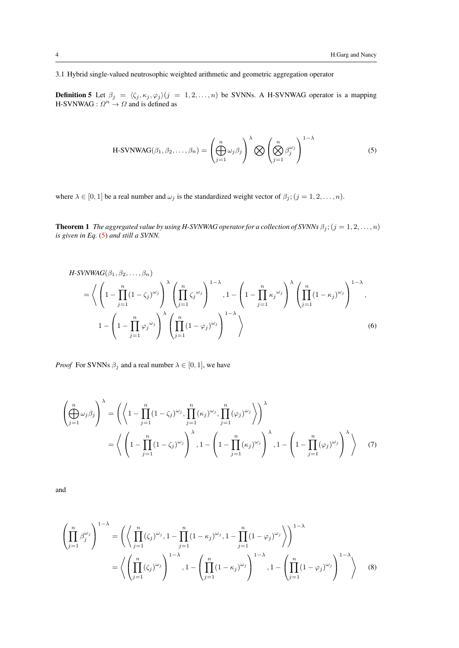3.1 Hybrid single-valued neutrosophic weighted arithmetic and geometric aggregation operator

<span id="page-3-1"></span>**Definition 5** Let  $\beta_j = \langle \zeta_j, \kappa_j, \varphi_j \rangle (j = 1, 2, ..., n)$  be SVNNs. A H-SVNWAG operator is a mapping H-SVNWAG :  $\Omega^n \to \Omega$  and is defined as

<span id="page-3-0"></span>H-SVNWAG
$$
(\beta_1, \beta_2, ..., \beta_n)
$$
 =  $\left(\bigoplus_{j=1}^n \omega_j \beta_j\right)^{\lambda} \bigotimes \left(\bigotimes_{j=1}^n \beta_j^{\omega_j}\right)^{1-\lambda}$  (5)

where  $\lambda \in [0, 1]$  be a real number and  $\omega_j$  is the standardized weight vector of  $\beta_j$ ;  $(j = 1, 2, ..., n)$ .

**Theorem 1** *The aggregated value by using H-SVNWAG operator for a collection of SVNNs*  $\beta_j$ ;  $(j = 1, 2, ..., n)$ *is given in Eq.* [\(5\)](#page-3-0) *and still a SVNN.*

<span id="page-3-2"></span>
$$
H-SVNWAG(\beta_1, \beta_2, ..., \beta_n)
$$
  
=  $\left\langle \left(1 - \prod_{j=1}^n (1 - \zeta_j)^{\omega_j}\right) \right\rangle \left(\prod_{j=1}^n \zeta_j^{\omega_j}\right)^{1-\lambda}, 1 - \left(1 - \prod_{j=1}^n \kappa_j^{\omega_j}\right) \left(\prod_{j=1}^n (1 - \kappa_j)^{\omega_j}\right)^{1-\lambda}, 1 - \left(1 - \prod_{j=1}^n \varphi_j^{\omega_j}\right) \left(\prod_{j=1}^n (1 - \varphi_j)^{\omega_j}\right)^{1-\lambda}, 1 - \left(1 - \prod_{j=1}^n \varphi_j^{\omega_j}\right) \left(\prod_{j=1}^n (1 - \varphi_j)^{\omega_j}\right)^{1-\lambda} \right\rangle$  (6)

*Proof* For SVNNs  $\beta_j$  and a real number  $\lambda \in [0, 1]$ , we have

$$
\left(\bigoplus_{j=1}^{n} \omega_{j} \beta_{j}\right)^{\lambda} = \left(\left\langle 1 - \prod_{j=1}^{n} (1 - \zeta_{j})^{\omega_{j}}, \prod_{j=1}^{n} (\kappa_{j})^{\omega_{j}}, \prod_{j=1}^{n} (\varphi_{j})^{\omega_{j}}\right\rangle\right)^{\lambda}
$$

$$
= \left\langle \left(1 - \prod_{j=1}^{n} (1 - \zeta_{j})^{\omega_{j}}\right)^{\lambda}, 1 - \left(1 - \prod_{j=1}^{n} (\kappa_{j})^{\omega_{j}}\right)^{\lambda}, 1 - \left(1 - \prod_{j=1}^{n} (\varphi_{j})^{\omega_{j}}\right)^{\lambda}\right\rangle \tag{7}
$$

and

$$
\left(\prod_{j=1}^{n} \beta_j^{\omega_j}\right)^{1-\lambda} = \left(\left\langle \prod_{j=1}^{n} (\zeta_j)^{\omega_j}, 1 - \prod_{j=1}^{n} (1 - \kappa_j)^{\omega_j}, 1 - \prod_{j=1}^{n} (1 - \varphi_j)^{\omega_j}\right\rangle\right)^{1-\lambda}
$$

$$
= \left\langle \left(\prod_{j=1}^{n} (\zeta_j)^{\omega_j}\right)^{1-\lambda}, 1 - \left(\prod_{j=1}^{n} (1 - \kappa_j)^{\omega_j}\right)^{1-\lambda}, 1 - \left(\prod_{j=1}^{n} (1 - \varphi_j)^{\omega_j}\right)^{1-\lambda}\right\rangle \tag{8}
$$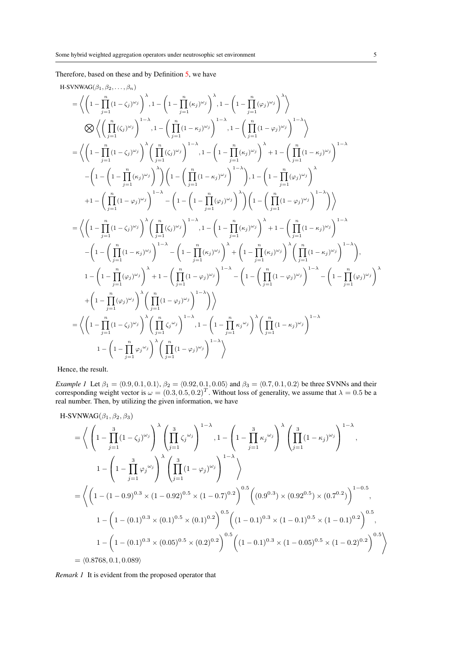Therefore, based on these and by Definition [5,](#page-3-1) we have

H-SVNWAG(
$$
\beta_1, \beta_2, ..., \beta_n
$$
)  
\n
$$
= \left\langle \left(1 - \prod_{j=1}^n (1-\zeta_j)^{\omega_j}\right)^{\lambda}, 1 - \left(1 - \prod_{j=1}^n (\kappa_j)^{\omega_j}\right)^{\lambda}, 1 - \left(1 - \prod_{j=1}^n (\varphi_j)^{\omega_j}\right)^{\lambda} \right\rangle
$$
\n
$$
\bigotimes \left\langle \left(\prod_{j=1}^n (1-\zeta_j)^{\omega_j}\right)^{1-\lambda}, 1 - \left(\prod_{j=1}^n (1-\varphi_j)^{\omega_j}\right)^{1-\lambda}, 1 - \left(\prod_{j=1}^n (1-\varphi_j)^{\omega_j}\right)^{1-\lambda} \right\rangle
$$
\n
$$
= \left\langle \left(1 - \prod_{j=1}^n (1-\zeta_j)^{\omega_j}\right)^{\lambda} \left(\prod_{j=1}^n (\zeta_j)^{\omega_j}\right)^{1-\lambda}, 1 - \left(1 - \prod_{j=1}^n (\kappa_j)^{\omega_j}\right)^{\lambda} + 1 - \left(\prod_{j=1}^n (1-\kappa_j)^{\omega_j}\right)^{1-\lambda} - \left(1 - \left(1 - \prod_{j=1}^n (\kappa_j)^{\omega_j}\right)^{\lambda}\right) \left(1 - \left(\prod_{j=1}^n (1-\kappa_j)^{\omega_j}\right)^{\lambda}\right), 1 - \left(1 - \prod_{j=1}^n (\varphi_j)^{\omega_j}\right)^{\lambda} \right)
$$
\n
$$
+ 1 - \left(\prod_{j=1}^n (1-\varphi_j)^{\omega_j}\right)^{1-\lambda} - \left(1 - \left(1 - \prod_{j=1}^n (\kappa_j)^{\omega_j}\right)^{\lambda}\right) \left(1 - \left(\prod_{j=1}^n (1-\varphi_j)^{\omega_j}\right)^{\lambda}\right)
$$
\n
$$
= \left\langle \left(1 - \prod_{j=1}^n (1-\zeta_j)^{\omega_j}\right)^{\lambda} \left(\prod_{j=1}^n (\zeta_j)^{\omega_j}\right)^{1-\lambda}, 1 - \left(1 - \prod_{j=1}^n (\kappa_j)^{\omega_j}\right)^{\lambda} + 1 - \left(\prod_{j=1}^n (1-\kappa_j)^{\omega_j}\right)^{1-\lambda} - \left(1 - \left(\prod_{j=1}^n (1-\kappa_j)^{\omega_j}\right
$$

Hence, the result.

<span id="page-4-0"></span>*Example 1* Let  $\beta_1 = (0.9, 0.1, 0.1), \beta_2 = (0.92, 0.1, 0.05)$  and  $\beta_3 = (0.7, 0.1, 0.2)$  be three SVNNs and their corresponding weight vector is  $\omega = (0.3, 0.5, 0.2)^T$ . Without loss of generality, we assume that  $\lambda = 0.5$  be a real number. Then, by utilizing the given information, we have

H-SVNWAG
$$
(\beta_1, \beta_2, \beta_3)
$$

$$
= \left\langle \left(1 - \prod_{j=1}^{3} (1 - \zeta_j)^{\omega_j}\right)^{\lambda} \left(\prod_{j=1}^{3} \zeta_j^{\omega_j}\right)^{1-\lambda}, 1 - \left(1 - \prod_{j=1}^{3} \kappa_j^{\omega_j}\right)^{\lambda} \left(\prod_{j=1}^{3} (1 - \kappa_j)^{\omega_j}\right)^{1-\lambda},
$$
  
\n
$$
1 - \left(1 - \prod_{j=1}^{3} \varphi_j^{\omega_j}\right)^{\lambda} \left(\prod_{j=1}^{3} (1 - \varphi_j)^{\omega_j}\right)^{1-\lambda} \right\rangle
$$
  
\n
$$
= \left\langle \left(1 - (1 - 0.9)^{0.3} \times (1 - 0.92)^{0.5} \times (1 - 0.7)^{0.2}\right)^{0.5} \left((0.9^{0.3}) \times (0.92^{0.5}) \times (0.7^{0.2})\right)^{1-0.5},
$$
  
\n
$$
1 - \left(1 - (0.1)^{0.3} \times (0.1)^{0.5} \times (0.1)^{0.2}\right)^{0.5} \left((1 - 0.1)^{0.3} \times (1 - 0.1)^{0.5} \times (1 - 0.1)^{0.2}\right)^{0.5},
$$
  
\n
$$
1 - \left(1 - (0.1)^{0.3} \times (0.05)^{0.5} \times (0.2)^{0.2}\right)^{0.5} \left((1 - 0.1)^{0.3} \times (1 - 0.05)^{0.5} \times (1 - 0.2)^{0.2}\right)^{0.5}\right\rangle
$$
  
\n=  $\langle 0.8768, 0.1, 0.089 \rangle$ 

*Remark 1* It is evident from the proposed operator that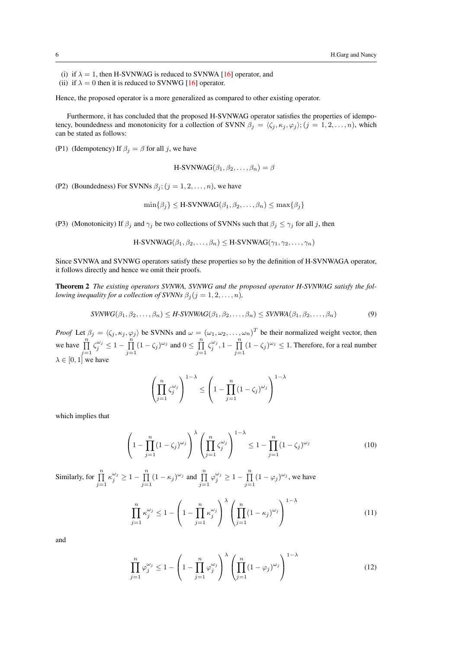(i) if  $\lambda = 1$ , then H-SVNWAG is reduced to SVNWA [\[16\]](#page-14-15) operator, and (ii) if  $\lambda = 0$  then it is reduced to SVNWG [\[16\]](#page-14-15) operator.

Hence, the proposed operator is a more generalized as compared to other existing operator.

Furthermore, it has concluded that the proposed H-SVNWAG operator satisfies the properties of idempotency, boundedness and monotonicity for a collection of SVNN  $\beta_j = \langle \zeta_j, \kappa_j, \varphi_j \rangle$ ;  $(j = 1, 2, ..., n)$ , which can be stated as follows:

(P1) (Idempotency) If  $\beta_j = \beta$  for all j, we have

$$
\text{H-SVNWAG}(\beta_1, \beta_2, \dots, \beta_n) = \beta
$$

(P2) (Boundedness) For SVNNs  $\beta_i$ ;  $(j = 1, 2, ..., n)$ , we have

$$
\min\{\beta_j\} \leq \text{H-SVNWAG}(\beta_1, \beta_2, \dots, \beta_n) \leq \max\{\beta_j\}
$$

(P3) (Monotonicity) If  $\beta_i$  and  $\gamma_i$  be two collections of SVNNs such that  $\beta_i \leq \gamma_i$  for all j, then

<span id="page-5-3"></span>H-SVNWAG
$$
(\beta_1, \beta_2, ..., \beta_n)
$$
  $\leq$  H-SVNWAG $(\gamma_1, \gamma_2, ..., \gamma_n)$ 

Since SVNWA and SVNWG operators satisfy these properties so by the definition of H-SVNWAGA operator, it follows directly and hence we omit their proofs.

Theorem 2 *The existing operators SVNWA, SVNWG and the proposed operator H-SVNWAG satisfy the following inequality for a collection of SVNNs*  $\beta_i$  ( $j = 1, 2, ..., n$ ),

$$
SVNWG(\beta_1, \beta_2, \dots, \beta_n) \le H-SVNWAG(\beta_1, \beta_2, \dots, \beta_n) \le SVNWA(\beta_1, \beta_2, \dots, \beta_n)
$$
\n
$$
(9)
$$

*Proof* Let  $\beta_j = \langle \zeta_j, \kappa_j, \varphi_j \rangle$  be SVNNs and  $\omega = (\omega_1, \omega_2, \dots, \omega_n)^T$  be their normalized weight vector, then we have  $\prod_{j=1}^n$  $\zeta_j^{\omega_j} \leq 1 - \prod_{i=1}^n$  $\prod_{j=1}^{n} (1 - \zeta_j)^{\omega_j}$  and  $0 \le \prod_{j=1}^{n}$  $j=1$  $\zeta_j^{\omega_j}, 1-\prod_{i=1}^n$  $\prod_{j=1}^{n} (1 - \zeta_j)^{\omega_j} \leq 1$ . Therefore, for a real number  $\lambda \in [0, 1]$  we have

$$
\left(\prod_{j=1}^n \zeta_j^{\omega_j}\right)^{1-\lambda} \le \left(1 - \prod_{j=1}^n (1-\zeta_j)^{\omega_j}\right)^{1-\lambda}
$$

which implies that

<span id="page-5-0"></span>
$$
\left(1 - \prod_{j=1}^{n} (1 - \zeta_j)^{\omega_j}\right)^{\lambda} \left(\prod_{j=1}^{n} \zeta_j^{\omega_j}\right)^{1-\lambda} \le 1 - \prod_{j=1}^{n} (1 - \zeta_j)^{\omega_j} \tag{10}
$$

Similarly, for  $\prod_{j=1}^n$  $\kappa_j^{\omega_j} \geq 1 - \prod_{i=1}^n$  $\prod_{j=1}^{n} (1 - \kappa_j)^{\omega_j}$  and  $\prod_{j=1}^{n}$  $\varphi_j^{\omega_j} \geq 1 - \prod_{i=1}^n$  $\prod_{j=1}^{n} (1 - \varphi_j)^{\omega_j}$ , we have

<span id="page-5-1"></span>
$$
\prod_{j=1}^{n} \kappa_j^{\omega_j} \le 1 - \left(1 - \prod_{j=1}^{n} \kappa_j^{\omega_j}\right)^{\lambda} \left(\prod_{j=1}^{n} (1 - \kappa_j)^{\omega_j}\right)^{1 - \lambda}
$$
\n(11)

and

<span id="page-5-2"></span>
$$
\prod_{j=1}^{n} \varphi_j^{\omega_j} \le 1 - \left(1 - \prod_{j=1}^{n} \varphi_j^{\omega_j}\right)^{\lambda} \left(\prod_{j=1}^{n} (1 - \varphi_j)^{\omega_j}\right)^{1-\lambda} \tag{12}
$$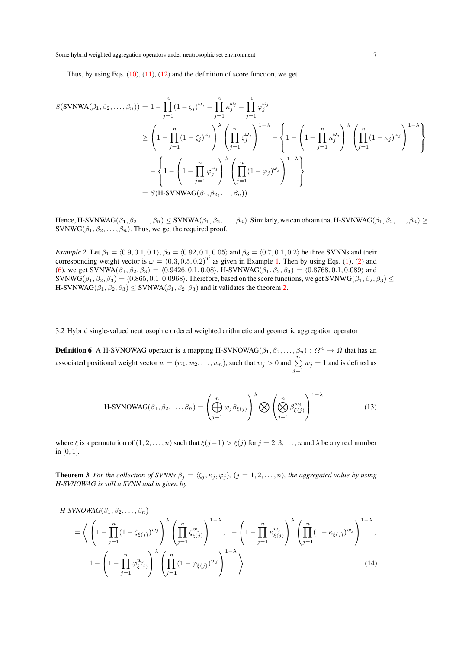Thus, by using Eqs.  $(10)$ ,  $(11)$ ,  $(12)$  and the definition of score function, we get

$$
S(\text{SVMWA}(\beta_1, \beta_2, ..., \beta_n)) = 1 - \prod_{j=1}^n (1 - \zeta_j)^{\omega_j} - \prod_{j=1}^n \kappa_j^{\omega_j} - \prod_{j=1}^n \varphi_j^{\omega_j}
$$
  
\n
$$
\geq \left(1 - \prod_{j=1}^n (1 - \zeta_j)^{\omega_j}\right)^{\lambda} \left(\prod_{j=1}^n \zeta_j^{\omega_j}\right)^{1-\lambda} - \left\{1 - \left(1 - \prod_{j=1}^n \kappa_j^{\omega_j}\right)^{\lambda} \left(\prod_{j=1}^n (1 - \kappa_j)^{\omega_j}\right)^{1-\lambda}\right\}
$$
  
\n
$$
- \left\{1 - \left(1 - \prod_{j=1}^n \varphi_j^{\omega_j}\right)^{\lambda} \left(\prod_{j=1}^n (1 - \varphi_j)^{\omega_j}\right)^{1-\lambda}\right\}
$$
  
\n
$$
= S(\text{H-SVNWAG}(\beta_1, \beta_2, ..., \beta_n))
$$

Hence, H-SVNWAG $(\beta_1, \beta_2, \ldots, \beta_n) \leq$  SVNWA $(\beta_1, \beta_2, \ldots, \beta_n)$ . Similarly, we can obtain that H-SVNWAG $(\beta_1, \beta_2, \ldots, \beta_n) \geq$ SVNWG( $\beta_1, \beta_2, \ldots, \beta_n$ ). Thus, we get the required proof.

*Example 2* Let  $\beta_1 = (0.9, 0.1, 0.1), \beta_2 = (0.92, 0.1, 0.05)$  and  $\beta_3 = (0.7, 0.1, 0.2)$  be three SVNNs and their corresponding weight vector is  $\omega = (0.3, 0.5, 0.2)^T$  as given in Example [1.](#page-4-0) Then by using Eqs. [\(1\)](#page-2-1), [\(2\)](#page-2-3) and [\(6\)](#page-3-2), we get SVNWA $(\beta_1, \beta_2, \beta_3) = (0.9426, 0.1, 0.08)$ , H-SVNWAG $(\beta_1, \beta_2, \beta_3) = (0.8768, 0.1, 0.089)$  and SVNWG $(\beta_1, \beta_2, \beta_3) = (0.865, 0.1, 0.0968)$ . Therefore, based on the score functions, we get SVNWG $(\beta_1, \beta_2, \beta_3) \le$ H-SVNWAG( $\beta_1, \beta_2, \beta_3$ )  $\leq$  SVNWA( $\beta_1, \beta_2, \beta_3$ ) and it validates the theorem [2.](#page-5-3)

3.2 Hybrid single-valued neutrosophic ordered weighted arithmetic and geometric aggregation operator

**Definition 6** A H-SVNOWAG operator is a mapping H-SVNOWAG( $\beta_1, \beta_2, ..., \beta_n$ ) :  $\Omega^n \to \Omega$  that has an associated positional weight vector  $w = (w_1, w_2, \dots, w_n)$ , such that  $w_j > 0$  and  $\sum_{j=1}^n w_j = 1$  and is defined as

H-SVNOWAG
$$
(\beta_1, \beta_2, ..., \beta_n)
$$
 =  $\left(\bigoplus_{j=1}^n w_j \beta_{\xi(j)}\right)^{\lambda} \bigotimes \left(\bigotimes_{j=1}^n \beta_{\xi(j)}^{w_j}\right)^{1-\lambda}$  (13)

where  $\xi$  is a permutation of  $(1, 2, \ldots, n)$  such that  $\xi(j-1) > \xi(j)$  for  $j = 2, 3, \ldots, n$  and  $\lambda$  be any real number in [0, 1].

**Theorem 3** *For the collection of SVNNs*  $\beta_j = \langle \zeta_j, \kappa_j, \varphi_j \rangle$ ,  $(j = 1, 2, ..., n)$ *, the aggregated value by using H-SVNOWAG is still a SVNN and is given by*

<span id="page-6-0"></span>
$$
H-SVNOWAG(\beta_1, \beta_2, \dots, \beta_n)
$$
\n
$$
= \left\langle \left(1 - \prod_{j=1}^n (1 - \zeta_{\xi(j)})^{w_j}\right) \prod_{j=1}^{\lambda} \left(\prod_{j=1}^n \zeta_{\xi(j)}^{w_j}\right)^{1-\lambda}, 1 - \left(1 - \prod_{j=1}^n \kappa_{\xi(j)}^{w_j}\right) \prod_{j=1}^{\lambda} \left(\prod_{j=1}^n (1 - \kappa_{\xi(j)})^{w_j}\right)^{1-\lambda}, 1 - \left(1 - \prod_{j=1}^n \varphi_{\xi(j)}^{w_j}\right) \prod_{j=1}^{\lambda} \left(\prod_{j=1}^n (1 - \varphi_{\xi(j)})^{w_j}\right)^{1-\lambda} \right\rangle
$$
\n
$$
(14)
$$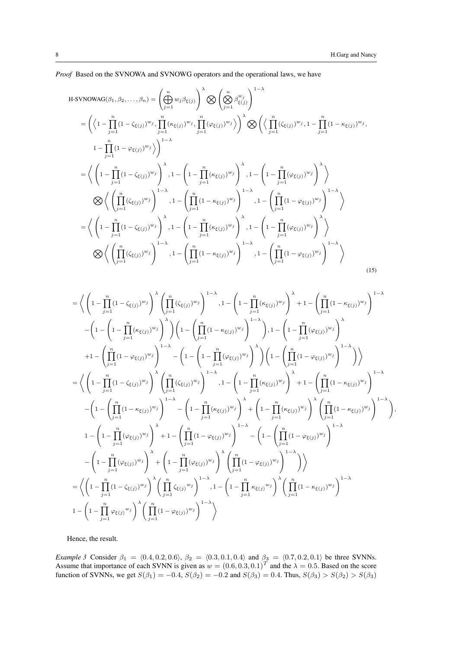*Proof* Based on the SVNOWA and SVNOWG operators and the operational laws, we have

H-SVNOWAG
$$
(\beta_1, \beta_2, ..., \beta_n)
$$
 =  $\left(\bigoplus_{j=1}^n w_j \beta_{\xi(j)}\right)^{\lambda} \bigotimes \left(\bigotimes_{j=1}^n \beta_{\xi(j)}^{w_j}\right)^{1-\lambda}$   
\n=  $\left(\left(1 - \prod_{j=1}^n (1 - \zeta_{\xi(j)})^{w_j}, \prod_{j=1}^n (\kappa_{\xi(j)})^{w_j}, \prod_{j=1}^n (\varphi_{\xi(j)})^{w_j}\right)\right)^{\lambda} \bigotimes \left(\left\langle \prod_{j=1}^n (\zeta_{\xi(j)})^{w_j}, 1 - \prod_{j=1}^n (1 - \kappa_{\xi(j)})^{w_j}, \prod_{j=1}^n (\varphi_{\xi(j)})^{w_j}\right)\right)^{\lambda}$   
\n=  $\left\langle \left(1 - \prod_{j=1}^n (1 - \zeta_{\xi(j)})^{w_j}\right)^{\lambda}, 1 - \left(1 - \prod_{j=1}^n (\kappa_{\xi(j)})^{w_j}\right)^{\lambda}, 1 - \left(1 - \prod_{j=1}^n (\varphi_{\xi(j)})^{w_j}\right)^{\lambda}\right\rangle$   
\n $\bigotimes \left\langle \left(\prod_{j=1}^n (\zeta_{\xi(j)})^{w_j}\right)^{1-\lambda}, 1 - \left(\prod_{j=1}^n (1 - \kappa_{\xi(j)})^{w_j}\right)^{1-\lambda}, 1 - \left(\prod_{j=1}^n (1 - \varphi_{\xi(j)})^{w_j}\right)^{1-\lambda}\right\rangle$   
\n=  $\left\langle \left(1 - \prod_{j=1}^n (1 - \zeta_{\xi(j)})^{w_j}\right)^{\lambda}, 1 - \left(1 - \prod_{j=1}^n (\kappa_{\xi(j)})^{w_j}\right)^{\lambda}, 1 - \left(1 - \prod_{j=1}^n (\varphi_{\xi(j)})^{w_j}\right)^{\lambda}\right\rangle$   
\n $\bigotimes \left\langle \left(\prod_{j=1}^n (\zeta_{\xi(j)})^{w_j}\right)^{1-\lambda}, 1 - \left(\prod_{j=1}^n (1 - \kappa_{\xi(j)})^{w_j}\right)^{1-\lambda}, 1 - \left(\prod_{j=1}^n (1 - \varphi_{\xi(j)})^{w_j}\right)^{1-\lambda}\right\rangle$  (15)

$$
\begin{split} = & \bigg\langle\left(1-\prod_{j=1}^{n}(1-\zeta_{\xi(j)})^{w_{j}}\right)^{\lambda}\left(\prod_{j=1}^{n}(\zeta_{\xi(j)})^{w_{j}}\right)^{1-\lambda}, 1-\left(1-\prod_{j=1}^{n}(\kappa_{\xi(j)})^{w_{j}}\right)^{\lambda}+1-\left(\prod_{j=1}^{n}(1-\kappa_{\xi(j)})^{w_{j}}\right)^{1-\lambda}\\ &-\left(1-\left(1-\prod_{j=1}^{n}(\kappa_{\xi(j)})^{w_{j}}\right)^{\lambda}\right)\left(1-\left(\prod_{j=1}^{n}(1-\kappa_{\xi(j)})^{w_{j}}\right)^{1-\lambda}\right), 1-\left(1-\prod_{j=1}^{n}(\varphi_{\xi(j)})^{w_{j}}\right)^{\lambda}\\ &+1-\left(\prod_{j=1}^{n}(1-\varphi_{\xi(j)})^{w_{j}}\right)^{1-\lambda}-\left(1-\left(1-\prod_{j=1}^{n}(\varphi_{\xi(j)})^{w_{j}}\right)^{\lambda}\right)\left(1-\left(\prod_{j=1}^{n}(1-\varphi_{\xi(j)})^{w_{j}}\right)^{1-\lambda}\right)\bigg\rangle\\ =&\bigg\langle\left(1-\prod_{j=1}^{n}(1-\zeta_{\xi(j)})^{w_{j}}\right)^{\lambda}\left(\prod_{j=1}^{n}(\zeta_{\xi(j)})^{w_{j}}\right)^{1-\lambda}, 1-\left(1-\prod_{j=1}^{n}(\kappa_{\xi(j)})^{w_{j}}\right)^{\lambda}+1-\left(\prod_{j=1}^{n}(1-\kappa_{\xi(j)})^{w_{j}}\right)^{1-\lambda}\\ &-\left(1-\left(\prod_{j=1}^{n}(1-\kappa_{\xi(j)})^{w_{j}}\right)^{1-\lambda}-\left(1-\prod_{j=1}^{n}(\kappa_{\xi(j)})^{w_{j}}\right)^{\lambda}+\left(1-\prod_{j=1}^{n}(\kappa_{\xi(j)})^{w_{j}}\right)^{\lambda}\left(\prod_{j=1}^{n}(1-\kappa_{\xi(j)})^{w_{j}}\right)^{1-\lambda}\\ &1-\left(1-\prod_{j=1}^{n}(\varphi_{\xi(j)})^{w_{j}}\right)^{\lambda}+1-\left(\prod_{j=1}^{n}(1-\varphi_{\xi(j)})^{w_{j}}\right)^{\lambda}-\left(1-\left(\prod_{j=1}^{n}(1-\varphi_{\xi(j)})^{w
$$

Hence, the result.

*Example 3* Consider  $\beta_1 = (0.4, 0.2, 0.6)$ ,  $\beta_2 = (0.3, 0.1, 0.4)$  and  $\beta_3 = (0.7, 0.2, 0.1)$  be three SVNNs. Assume that importance of each SVNN is given as  $w = (0.6, 0.3, 0.1)^T$  and the  $\lambda = 0.5$ . Based on the score function of SVNNs, we get  $S(\beta_1) = -0.4$ ,  $S(\beta_2) = -0.2$  and  $S(\beta_3) = 0.4$ . Thus,  $S(\beta_3) > S(\beta_2) > S(\beta_3)$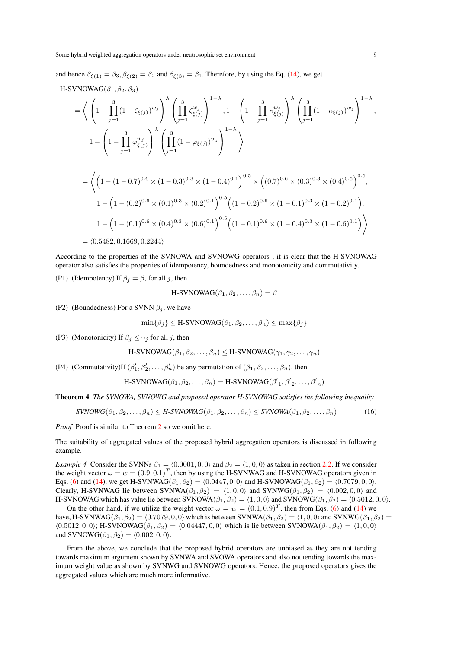and hence  $\beta_{\xi(1)} = \beta_3$ ,  $\beta_{\xi(2)} = \beta_2$  and  $\beta_{\xi(3)} = \beta_1$ . Therefore, by using the Eq. [\(14\)](#page-6-0), we get

H-SVNOWAG
$$
(\beta_1, \beta_2, \beta_3)
$$

$$
= \left\langle \left(1 - \prod_{j=1}^{3} (1 - \zeta_{\xi(j)})^{w_j}\right)^{\lambda} \left(\prod_{j=1}^{3} \zeta_{\xi(j)}^{w_j}\right)^{1-\lambda}, 1 - \left(1 - \prod_{j=1}^{3} \kappa_{\xi(j)}^{w_j}\right)^{\lambda} \left(\prod_{j=1}^{3} (1 - \kappa_{\xi(j)})^{w_j}\right)^{1-\lambda},
$$
  

$$
1 - \left(1 - \prod_{j=1}^{3} \varphi_{\xi(j)}^{w_j}\right)^{\lambda} \left(\prod_{j=1}^{3} (1 - \varphi_{\xi(j)})^{w_j}\right)^{1-\lambda} \right\rangle
$$

$$
= \left\langle \left(1 - (1 - 0.7)^{0.6} \times (1 - 0.3)^{0.3} \times (1 - 0.4)^{0.1}\right)^{0.5} \times \left((0.7)^{0.6} \times (0.3)^{0.3} \times (0.4)^{0.5}\right)^{0.5},
$$
  
\n
$$
1 - \left(1 - (0.2)^{0.6} \times (0.1)^{0.3} \times (0.2)^{0.1}\right)^{0.5} \left((1 - 0.2)^{0.6} \times (1 - 0.1)^{0.3} \times (1 - 0.2)^{0.1}\right),
$$
  
\n
$$
1 - \left(1 - (0.1)^{0.6} \times (0.4)^{0.3} \times (0.6)^{0.1}\right)^{0.5} \left((1 - 0.1)^{0.6} \times (1 - 0.4)^{0.3} \times (1 - 0.6)^{0.1}\right)\right\rangle
$$

 $= \langle 0.5482, 0.1669, 0.2244 \rangle$ 

According to the properties of the SVNOWA and SVNOWG operators , it is clear that the H-SVNOWAG operator also satisfies the properties of idempotency, boundedness and monotonicity and commutativity.

(P1) (Idempotency) If  $\beta_i = \beta$ , for all j, then

$$
H-SVNOWAG(\beta_1, \beta_2, \ldots, \beta_n) = \beta
$$

(P2) (Boundedness) For a SVNN  $\beta_i$ , we have

 $\min\{\beta_i\} \leq H-SV NOWAG(\beta_1, \beta_2, \ldots, \beta_n) \leq \max\{\beta_i\}$ 

(P3) (Monotonicity) If  $\beta_j \leq \gamma_j$  for all j, then

H-SVNOWAG $(\beta_1, \beta_2, \ldots, \beta_n)$  < H-SVNOWAG $(\gamma_1, \gamma_2, \ldots, \gamma_n)$ 

(P4) (Commutativity)If  $(\beta'_1, \beta'_2, ..., \beta'_n)$  be any permutation of  $(\beta_1, \beta_2, ..., \beta_n)$ , then

H-SVNOWLEDG
$$
(\beta_1, \beta_2, \ldots, \beta_n) =
$$
H-SVNOWLEDG $(\beta'_1, \beta'_2, \ldots, \beta'_n)$ 

Theorem 4 *The SVNOWA, SVNOWG and proposed operator H-SVNOWAG satisfies the following inequality*

$$
SVNOWG(\beta_1, \beta_2, \dots, \beta_n) \le H-SVNOWAG(\beta_1, \beta_2, \dots, \beta_n) \le SVNOWA(\beta_1, \beta_2, \dots, \beta_n)
$$
(16)

*Proof* Proof is similar to Theorem [2](#page-5-3) so we omit here.

The suitability of aggregated values of the proposed hybrid aggregation operators is discussed in following example.

*Example 4* Consider the SVNNs  $\beta_1 = \langle 0.0001, 0, 0 \rangle$  and  $\beta_2 = \langle 1, 0, 0 \rangle$  as taken in section [2.2.](#page-2-4) If we consider the weight vector  $\omega = w = (0.9, 0.1)^T$ , then by using the H-SVNWAG and H-SVNOWAG operators given in Eqs. [\(6\)](#page-3-2) and [\(14\)](#page-6-0), we get H-SVNWAG $(\beta_1, \beta_2) = \langle 0.0447, 0, 0 \rangle$  and H-SVNOWAG $(\beta_1, \beta_2) = \langle 0.7079, 0, 0 \rangle$ . Clearly, H-SVNWAG lie between SVNWA $(\beta_1, \beta_2) = (1, 0, 0)$  and SVNWG $(\beta_1, \beta_2) = (0.002, 0, 0)$  and H-SVNOWAG which has value lie between SVNOWA( $\beta_1, \beta_2$ ) =  $\langle 1, 0, 0 \rangle$  and SVNOWG( $\beta_1, \beta_2$ ) =  $\langle 0.5012, 0, 0 \rangle$ .

On the other hand, if we utilize the weight vector  $\omega = w = (0.1, 0.9)^T$ , then from Eqs. [\(6\)](#page-3-2) and [\(14\)](#page-6-0) we have, H-SVNWAG( $\beta_1, \beta_2$ ) =  $\langle 0.7079, 0, 0 \rangle$  which is between SVNWA( $\beta_1, \beta_2$ ) =  $\langle 1, 0, 0 \rangle$  and SVNWG( $\beta_1, \beta_2$ ) =  $\langle 0.5012, 0, 0 \rangle$ ; H-SVNOWAG $(\beta_1, \beta_2) = \langle 0.04447, 0, 0 \rangle$  which is lie between SVNOWA $(\beta_1, \beta_2) = \langle 1, 0, 0 \rangle$ and SVNOWG $(\beta_1, \beta_2) = (0.002, 0, 0)$ .

From the above, we conclude that the proposed hybrid operators are unbiased as they are not tending towards maximum argument shown by SVNWA and SVOWA operators and also not tending towards the maximum weight value as shown by SVNWG and SVNOWG operators. Hence, the proposed operators gives the aggregated values which are much more informative.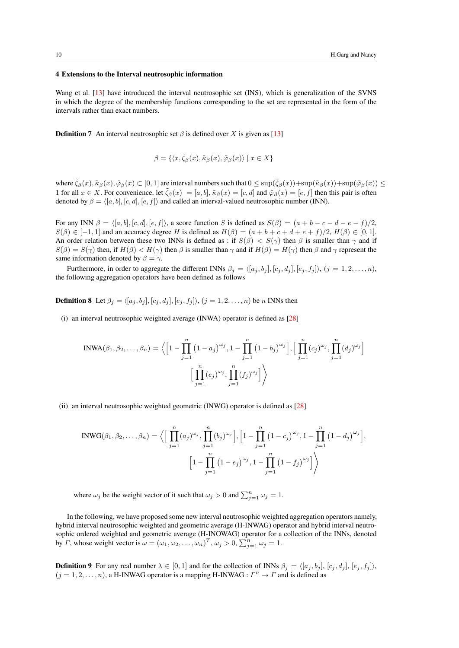# <span id="page-9-0"></span>4 Extensions to the Interval neutrosophic information

Wang et al. [\[13\]](#page-14-12) have introduced the interval neutrosophic set (INS), which is generalization of the SVNS in which the degree of the membership functions corresponding to the set are represented in the form of the intervals rather than exact numbers.

<span id="page-9-1"></span>**Definition 7** An interval neutrosophic set  $\beta$  is defined over X is given as [\[13\]](#page-14-12)

$$
\beta = \{ \langle x, \tilde{\zeta}_{\beta}(x), \tilde{\kappa}_{\beta}(x), \tilde{\varphi}_{\beta}(x) \rangle \mid x \in X \}
$$

where  $\tilde{\zeta}_{\beta}(x), \tilde{\kappa}_{\beta}(x), \tilde{\varphi}_{\beta}(x) \subset [0,1]$  are interval numbers such that  $0 \leq \sup(\tilde{\zeta}_{\beta}(x)) + \sup(\tilde{\kappa}_{\beta}(x)) + \sup(\tilde{\varphi}_{\beta}(x)) \leq$ 1 for all  $x \in X$ . For convenience, let  $\tilde{\zeta}_{\beta}(x) = [a, b], \tilde{\kappa}_{\beta}(x) = [c, d]$  and  $\tilde{\varphi}_{\beta}(x) = [e, f]$  then this pair is often denoted by  $\beta = \langle [a, b], [c, d], [e, f] \rangle$  and called an interval-valued neutrosophic number (INN).

For any INN  $\beta = \langle [a, b], [c, d], [e, f] \rangle$ , a score function S is defined as  $S(\beta) = (a + b - c - d - e - f)/2$ .  $S(\beta) \in [-1, 1]$  and an accuracy degree H is defined as  $H(\beta) = (a + b + c + d + e + f)/2$ ,  $H(\beta) \in [0, 1]$ . An order relation between these two INNs is defined as : if  $S(\beta) < S(\gamma)$  then  $\beta$  is smaller than  $\gamma$  and if  $S(\beta) = S(\gamma)$  then, if  $H(\beta) < H(\gamma)$  then  $\beta$  is smaller than  $\gamma$  and if  $H(\beta) = H(\gamma)$  then  $\beta$  and  $\gamma$  represent the same information denoted by  $\beta = \gamma$ .

Furthermore, in order to aggregate the different INNs  $\beta_i = \langle [a_j, b_j], [c_j, d_j], [e_j, f_j] \rangle$ ,  $(j = 1, 2, ..., n)$ , the following aggregation operators have been defined as follows

**Definition 8** Let  $\beta_j = \langle [a_j , b_j], [c_j , d_j], [e_j , f_j] \rangle$ ,  $(j = 1, 2, \ldots, n)$  be n INNs then

(i) an interval neutrosophic weighted average (INWA) operator is defined as [\[28\]](#page-15-6)

$$
INWA(\beta_1, \beta_2, \dots, \beta_n) = \left\langle \left[1 - \prod_{j=1}^n (1 - a_j)^{\omega_j}, 1 - \prod_{j=1}^n (1 - b_j)^{\omega_j} \right], \left[\prod_{j=1}^n (c_j)^{\omega_j}, \prod_{j=1}^n (d_j)^{\omega_j} \right] \right\rangle
$$

$$
\left[\prod_{j=1}^n (e_j)^{\omega_j}, \prod_{j=1}^n (f_j)^{\omega_j} \right] \left\langle
$$

(ii) an interval neutrosophic weighted geometric (INWG) operator is defined as [\[28\]](#page-15-6)

$$
INWG(\beta_1, \beta_2, ..., \beta_n) = \Big\langle \Big[ \prod_{j=1}^n (a_j)^{\omega_j}, \prod_{j=1}^n (b_j)^{\omega_j} \Big], \Big[ 1 - \prod_{j=1}^n (1 - c_j)^{\omega_j}, 1 - \prod_{j=1}^n (1 - d_j)^{\omega_j} \Big],
$$

$$
\Big[ 1 - \prod_{j=1}^n (1 - e_j)^{\omega_j}, 1 - \prod_{j=1}^n (1 - f_j)^{\omega_j} \Big] \Big\rangle
$$

where  $\omega_j$  be the weight vector of it such that  $\omega_j > 0$  and  $\sum_{j=1}^n \omega_j = 1$ .

In the following, we have proposed some new interval neutrosophic weighted aggregation operators namely, hybrid interval neutrosophic weighted and geometric average (H-INWAG) operator and hybrid interval neutrosophic ordered weighted and geometric average (H-INOWAG) operator for a collection of the INNs, denoted by  $\Gamma$ , whose weight vector is  $\omega = (\omega_1, \omega_2, \dots, \omega_n)^T$ ,  $\omega_j > 0$ ,  $\sum_{j=1}^n \omega_j = 1$ .

**Definition 9** For any real number  $\lambda \in [0, 1]$  and for the collection of INNs  $\beta_j = \langle [a_j, b_j], [c_j, d_j], [e_j, f_j] \rangle$ ,  $(j = 1, 2, ..., n)$ , a H-INWAG operator is a mapping H-INWAG :  $\Gamma^n \to \Gamma$  and is defined as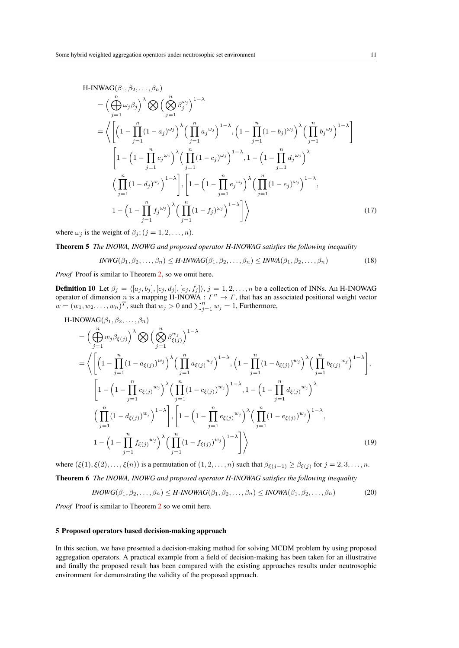H-INWAG(
$$
\beta_1, \beta_2, ..., \beta_n
$$
)  
\n= $\left(\bigoplus_{j=1}^n \omega_j \beta_j\right)^{\lambda} \bigotimes \left(\bigotimes_{j=1}^n \beta_j^{\omega_j}\right)^{1-\lambda}$   
\n= $\left\langle \left[ \left(1 - \prod_{j=1}^n (1 - a_j)^{\omega_j}\right)^{\lambda} \left(\prod_{j=1}^n a_j^{\omega_j}\right)^{1-\lambda}, \left(1 - \prod_{j=1}^n (1 - b_j)^{\omega_j}\right)^{\lambda} \left(\prod_{j=1}^n b_j^{\omega_j}\right)^{1-\lambda} \right] \right\}$   
\n $\left[1 - \left(1 - \prod_{j=1}^n c_j^{\omega_j}\right)^{\lambda} \left(\prod_{j=1}^n (1 - c_j)^{\omega_j}\right)^{1-\lambda}, 1 - \left(1 - \prod_{j=1}^n d_j^{\omega_j}\right)^{\lambda}$   
\n $\left(\prod_{j=1}^n (1 - d_j)^{\omega_j}\right)^{1-\lambda} \right], \left[1 - \left(1 - \prod_{j=1}^n e_j^{\omega_j}\right)^{\lambda} \left(\prod_{j=1}^n (1 - e_j)^{\omega_j}\right)^{1-\lambda}, 1 - \left(1 - \prod_{j=1}^n d_j^{\omega_j}\right)^{\lambda}$   
\n $1 - \left(1 - \prod_{j=1}^n f_j^{\omega_j}\right)^{\lambda} \left(\prod_{j=1}^n (1 - f_j)^{\omega_j}\right)^{1-\lambda} \right] \right\rangle$  (17)

where  $\omega_j$  is the weight of  $\beta_j$ ;  $(j = 1, 2, \ldots, n)$ .

Theorem 5 *The INOWA, INOWG and proposed operator H-INOWAG satisfies the following inequality*

$$
IWWG(\beta_1, \beta_2, \dots, \beta_n) \leq H\text{-}INVAG(\beta_1, \beta_2, \dots, \beta_n) \leq INWA(\beta_1, \beta_2, \dots, \beta_n)
$$
\n
$$
(18)
$$

*Proof* Proof is similar to Theorem [2,](#page-5-3) so we omit here.

**Definition 10** Let  $\beta_j = \langle [a_j, b_j], [c_j, d_j], [e_j, f_j] \rangle, j = 1, 2, ..., n$  be a collection of INNs. An H-INOWAG operator of dimension n is a mapping H-INOWA :  $\Gamma^n \to \Gamma$ , that has an associated positional weight vector  $w = (w_1, w_2, \dots, w_n)^T$ , such that  $w_j > 0$  and  $\sum_{j=1}^n w_j = 1$ , Furthermore,

H-INOWAG
$$
(\beta_1, \beta_2, ..., \beta_n)
$$
  
\n
$$
= \left( \bigoplus_{j=1}^n w_j \beta_{\xi(j)} \right)^{\lambda} \bigotimes \left( \bigotimes_{j=1}^n \beta_{\xi(j)}^{w_j} \right)^{1-\lambda}
$$
\n
$$
= \left\langle \left[ \left( 1 - \prod_{j=1}^n (1 - a_{\xi(j)})^{w_j} \right)^{\lambda} \left( \prod_{j=1}^n a_{\xi(j)}^{w_j} \right)^{1-\lambda}, \left( 1 - \prod_{j=1}^n (1 - b_{\xi(j)})^{w_j} \right)^{\lambda} \left( \prod_{j=1}^n b_{\xi(j)}^{w_j} \right)^{1-\lambda} \right],
$$
\n
$$
\left[ 1 - \left( 1 - \prod_{j=1}^n c_{\xi(j)}^{w_j} \right)^{\lambda} \left( \prod_{j=1}^n (1 - c_{\xi(j)})^{w_j} \right)^{1-\lambda}, 1 - \left( 1 - \prod_{j=1}^n d_{\xi(j)}^{w_j} \right)^{\lambda}
$$
\n
$$
\left( \prod_{j=1}^n (1 - d_{\xi(j)})^{w_j} \right)^{1-\lambda} \right], \left[ 1 - \left( 1 - \prod_{j=1}^n e_{\xi(j)}^{w_j} \right)^{\lambda} \left( \prod_{j=1}^n (1 - e_{\xi(j)})^{w_j} \right)^{1-\lambda},
$$
\n
$$
1 - \left( 1 - \prod_{j=1}^n f_{\xi(j)}^{w_j} \right)^{\lambda} \left( \prod_{j=1}^n (1 - f_{\xi(j)})^{w_j} \right)^{1-\lambda} \right] \right\rangle
$$
\n(19)

where  $(\xi(1), \xi(2), \ldots, \xi(n))$  is a permutation of  $(1, 2, \ldots, n)$  such that  $\beta_{\xi(j-1)} \geq \beta_{\xi(j)}$  for  $j = 2, 3, \ldots, n$ . Theorem 6 *The INOWA, INOWG and proposed operator H-INOWAG satisfies the following inequality*

$$
INOWG(\beta_1, \beta_2, \dots, \beta_n) \le H\text{-}INOWAG(\beta_1, \beta_2, \dots, \beta_n) \le INOWA(\beta_1, \beta_2, \dots, \beta_n)
$$
(20)

*Proof* Proof is similar to Theorem [2](#page-5-3) so we omit here.

#### <span id="page-10-0"></span>5 Proposed operators based decision-making approach

In this section, we have presented a decision-making method for solving MCDM problem by using proposed aggregation operators. A practical example from a field of decision-making has been taken for an illustrative and finally the proposed result has been compared with the existing approaches results under neutrosophic environment for demonstrating the validity of the proposed approach.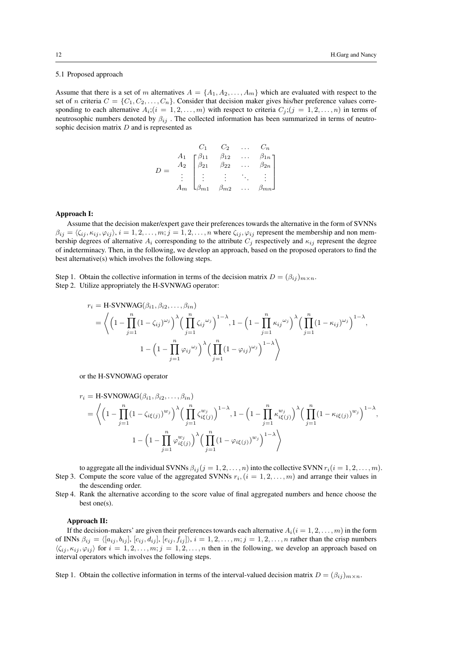# 5.1 Proposed approach

Assume that there is a set of m alternatives  $A = \{A_1, A_2, \ldots, A_m\}$  which are evaluated with respect to the set of n criteria  $C = \{C_1, C_2, \ldots, C_n\}$ . Consider that decision maker gives his/her preference values corresponding to each alternative  $A_i$ ;  $(i = 1, 2, ..., m)$  with respect to criteria  $C_j$ ;  $(j = 1, 2, ..., n)$  in terms of neutrosophic numbers denoted by  $\beta_{ij}$ . The collected information has been summarized in terms of neutrosophic decision matrix D and is represented as

$$
D = \begin{bmatrix} C_1 & C_2 & \dots & C_n \\ A_1 & \beta_{11} & \beta_{12} & \dots & \beta_{1n} \\ A_2 & \beta_{21} & \beta_{22} & \dots & \beta_{2n} \\ \vdots & \vdots & \vdots & \ddots & \vdots \\ A_m & \beta_{m1} & \beta_{m2} & \dots & \beta_{mn} \end{bmatrix}
$$

# Approach I:

Assume that the decision maker/expert gave their preferences towards the alternative in the form of SVNNs  $\beta_{ij} = \langle \zeta_{ij}, \kappa_{ij}, \varphi_{ij} \rangle, i = 1, 2, \ldots, m; j = 1, 2, \ldots, n$  where  $\zeta_{ij}, \varphi_{ij}$  represent the membership and non membership degrees of alternative  $A_i$  corresponding to the attribute  $C_i$  respectively and  $\kappa_{ij}$  represent the degree of indeterminacy. Then, in the following, we develop an approach, based on the proposed operators to find the best alternative(s) which involves the following steps.

Step 1. Obtain the collective information in terms of the decision matrix  $D = (\beta_{ij})_{m \times n}$ . Step 2. Utilize appropriately the H-SVNWAG operator:

$$
r_i = \text{H-SVNWAG}(\beta_{i1}, \beta_{i2}, \dots, \beta_{in})
$$
  
=  $\left\langle \left(1 - \prod_{j=1}^n (1 - \zeta_{ij})^{\omega_j}\right)^{\lambda} \left(\prod_{j=1}^n \zeta_{ij}^{\omega_j}\right)^{1-\lambda}, 1 - \left(1 - \prod_{j=1}^n \kappa_{ij}^{\omega_j}\right)^{\lambda} \left(\prod_{j=1}^n (1 - \kappa_{ij})^{\omega_j}\right)^{1-\lambda}, 1 - \left(1 - \prod_{j=1}^n \varphi_{ij}^{\omega_j}\right)^{\lambda} \left(\prod_{j=1}^n (1 - \varphi_{ij})^{\omega_j}\right)^{1-\lambda} \right\rangle$ 

or the H-SVNOWAG operator

$$
r_i = \text{H-SVNOWLEDMAG}(B_{i1}, B_{i2}, \dots, B_{in})
$$
  
=  $\left\langle \left(1 - \prod_{j=1}^n (1 - \zeta_{i\xi(j)})^{w_j}\right)^{\lambda} \left(\prod_{j=1}^n \zeta_{i\xi(j)}^{w_j}\right)^{1-\lambda}, 1 - \left(1 - \prod_{j=1}^n \kappa_{i\xi(j)}^{w_j}\right)^{\lambda} \left(\prod_{j=1}^n (1 - \kappa_{i\xi(j)})^{w_j}\right)^{1-\lambda}, 1 - \left(1 - \prod_{j=1}^n \varphi_{i\xi(j)}^{w_j}\right)^{\lambda} \left(\prod_{j=1}^n (1 - \varphi_{i\xi(j)})^{w_j}\right)^{1-\lambda}\right\rangle$ 

to aggregate all the individual SVNNs  $\beta_{ij}$  ( $j = 1, 2, \ldots, n$ ) into the collective SVNN  $r_i$  ( $i = 1, 2, \ldots, m$ ). Step 3. Compute the score value of the aggregated SVNNs  $r_i$ ,  $(i = 1, 2, ..., m)$  and arrange their values in the descending order.

Step 4. Rank the alternative according to the score value of final aggregated numbers and hence choose the best one(s).

## Approach II:

If the decision-makers' are given their preferences towards each alternative  $A_i(i = 1, 2, \ldots, m)$  in the form of INNs  $\beta_{ij} = \langle [a_{ij}, b_{ij}], [c_{ij}, d_{ij}], [e_{ij}, f_{ij}] \rangle, i = 1, 2, \ldots, m; j = 1, 2, \ldots, n$  rather than the crisp numbers  $\langle \zeta_{ij}, \kappa_{ij}, \varphi_{ij} \rangle$  for  $i = 1, 2, \ldots, m; j = 1, 2, \ldots, n$  then in the following, we develop an approach based on interval operators which involves the following steps.

Step 1. Obtain the collective information in terms of the interval-valued decision matrix  $D = (\beta_{ij})_{m \times n}$ .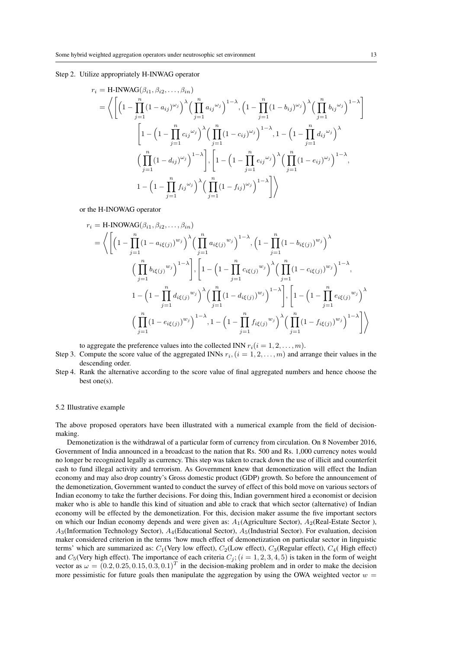#### Step 2. Utilize appropriately H-INWAG operator

$$
r_{i} = \text{H-INWAG}(\beta_{i1}, \beta_{i2}, ..., \beta_{in})
$$
\n
$$
= \left\langle \left[ \left( 1 - \prod_{j=1}^{n} (1 - a_{ij})^{\omega_{j}} \right)^{\lambda} \left( \prod_{j=1}^{n} a_{ij}^{\omega_{j}} \right)^{1-\lambda}, \left( 1 - \prod_{j=1}^{n} (1 - b_{ij})^{\omega_{j}} \right)^{\lambda} \left( \prod_{j=1}^{n} b_{ij}^{\omega_{j}} \right)^{1-\lambda} \right] \right\rangle
$$
\n
$$
\left[ 1 - \left( 1 - \prod_{j=1}^{n} c_{ij}^{\omega_{j}} \right)^{\lambda} \left( \prod_{j=1}^{n} (1 - c_{ij})^{\omega_{j}} \right)^{1-\lambda}, 1 - \left( 1 - \prod_{j=1}^{n} d_{ij}^{\omega_{j}} \right)^{\lambda}
$$
\n
$$
\left( \prod_{j=1}^{n} (1 - d_{ij})^{\omega_{j}} \right)^{1-\lambda} \right], \left[ 1 - \left( 1 - \prod_{j=1}^{n} e_{ij}^{\omega_{j}} \right)^{\lambda} \left( \prod_{j=1}^{n} (1 - e_{ij})^{\omega_{j}} \right)^{1-\lambda}, 1 - \left( 1 - \prod_{j=1}^{n} f_{ij}^{\omega_{j}} \right)^{\lambda} \left( \prod_{j=1}^{n} (1 - f_{ij})^{\omega_{j}} \right)^{1-\lambda} \right]
$$

or the H-INOWAG operator

$$
r_{i} = \text{H-INOWAG}(\beta_{i1}, \beta_{i2},..., \beta_{in})
$$
\n
$$
= \left\langle \left[ \left( 1 - \prod_{j=1}^{n} (1 - a_{i\xi(j)})^{w_{j}} \right)^{\lambda} \left( \prod_{j=1}^{n} a_{i\xi(j)}^{w_{j}} \right)^{1-\lambda}, \left( 1 - \prod_{j=1}^{n} (1 - b_{i\xi(j)})^{w_{j}} \right)^{\lambda} \right. \left. \left( \prod_{j=1}^{n} b_{i\xi(j)}^{w_{j}} \right)^{1-\lambda} \right], \left[ 1 - \left( 1 - \prod_{j=1}^{n} c_{i\xi(j)}^{w_{j}} \right)^{\lambda} \left( \prod_{j=1}^{n} (1 - c_{i\xi(j)})^{w_{j}} \right)^{1-\lambda},
$$
\n
$$
1 - \left( 1 - \prod_{j=1}^{n} d_{i\xi(j)}^{w_{j}} \right)^{\lambda} \left( \prod_{j=1}^{n} (1 - d_{i\xi(j)})^{w_{j}} \right)^{1-\lambda} \right], \left[ 1 - \left( 1 - \prod_{j=1}^{n} e_{i\xi(j)}^{w_{j}} \right)^{\lambda} \left( \prod_{j=1}^{n} (1 - e_{i\xi(j)})^{w_{j}} \right)^{1-\lambda}, 1 - \left( 1 - \prod_{j=1}^{n} f_{i\xi(j)}^{w_{j}} \right)^{\lambda} \left( \prod_{j=1}^{n} (1 - f_{i\xi(j)})^{w_{j}} \right)^{1-\lambda} \right] \right\rangle
$$

to aggregate the preference values into the collected INN  $r_i(i = 1, 2, \ldots, m)$ .

- Step 3. Compute the score value of the aggregated INNs  $r_i$ ,  $(i = 1, 2, ..., m)$  and arrange their values in the descending order.
- Step 4. Rank the alternative according to the score value of final aggregated numbers and hence choose the best one(s).

# 5.2 Illustrative example

The above proposed operators have been illustrated with a numerical example from the field of decisionmaking.

Demonetization is the withdrawal of a particular form of currency from circulation. On 8 November 2016, Government of India announced in a broadcast to the nation that Rs. 500 and Rs. 1,000 currency notes would no longer be recognized legally as currency. This step was taken to crack down the use of illicit and counterfeit cash to fund illegal activity and terrorism. As Government knew that demonetization will effect the Indian economy and may also drop country's Gross domestic product (GDP) growth. So before the announcement of the demonetization, Government wanted to conduct the survey of effect of this bold move on various sectors of Indian economy to take the further decisions. For doing this, Indian government hired a economist or decision maker who is able to handle this kind of situation and able to crack that which sector (alternative) of Indian economy will be effected by the demonetization. For this, decision maker assume the five important sectors on which our Indian economy depends and were given as:  $A_1(Agriculture Sector)$ ,  $A_2(Real-Estate Sector)$ ,  $A_3$ (Information Technology Sector),  $A_4$ (Educational Sector),  $A_5$ (Industrial Sector). For evaluation, decision maker considered criterion in the terms 'how much effect of demonetization on particular sector in linguistic terms' which are summarized as:  $C_1$ (Very low effect),  $C_2$ (Low effect),  $C_3$ (Regular effect),  $C_4$ ( High effect) and  $C_5$ (Very high effect). The importance of each criteria  $C_j$ ; (i = 1, 2, 3, 4, 5) is taken in the form of weight vector as  $\omega = (0.2, 0.25, 0.15, 0.3, 0.1)^T$  in the decision-making problem and in order to make the decision more pessimistic for future goals then manipulate the aggregation by using the OWA weighted vector  $w =$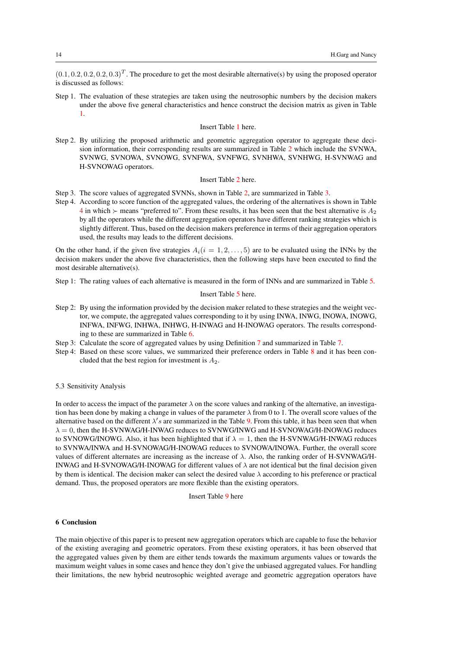$(0.1, 0.2, 0.2, 0.2, 0.3)^T$ . The procedure to get the most desirable alternative(s) by using the proposed operator is discussed as follows:

Step 1. The evaluation of these strategies are taken using the neutrosophic numbers by the decision makers under the above five general characteristics and hence construct the decision matrix as given in Table [1.](#page-15-7)

#### Insert Table [1](#page-15-7) here.

Step 2. By utilizing the proposed arithmetic and geometric aggregation operator to aggregate these decision information, their corresponding results are summarized in Table [2](#page-15-8) which include the SVNWA, SVNWG, SVNOWA, SVNOWG, SVNFWA, SVNFWG, SVNHWA, SVNHWG, H-SVNWAG and H-SVNOWAG operators.

#### Insert Table [2](#page-15-8) here.

- Step 3. The score values of aggregated SVNNs, shown in Table [2,](#page-15-8) are summarized in Table [3.](#page-15-9)
- Step 4. According to score function of the aggregated values, the ordering of the alternatives is shown in Table [4](#page-16-0) in which  $\succ$  means "preferred to". From these results, it has been seen that the best alternative is  $A_2$ by all the operators while the different aggregation operators have different ranking strategies which is slightly different. Thus, based on the decision makers preference in terms of their aggregation operators used, the results may leads to the different decisions.

On the other hand, if the given five strategies  $A_i(i = 1, 2, \ldots, 5)$  are to be evaluated using the INNs by the decision makers under the above five characteristics, then the following steps have been executed to find the most desirable alternative(s).

Step 1: The rating values of each alternative is measured in the form of INNs and are summarized in Table [5.](#page-16-1)

## Insert Table [5](#page-16-1) here.

- Step 2: By using the information provided by the decision maker related to these strategies and the weight vector, we compute, the aggregated values corresponding to it by using INWA, INWG, INOWA, INOWG, INFWA, INFWG, INHWA, INHWG, H-INWAG and H-INOWAG operators. The results corresponding to these are summarized in Table [6.](#page-16-2)
- Step 3: Calculate the score of aggregated values by using Definition [7](#page-9-1) and summarized in Table [7.](#page-17-0)
- Step 4: Based on these score values, we summarized their preference orders in Table [8](#page-17-1) and it has been concluded that the best region for investment is  $A_2$ .

## 5.3 Sensitivity Analysis

In order to access the impact of the parameter  $\lambda$  on the score values and ranking of the alternative, an investigation has been done by making a change in values of the parameter  $\lambda$  from 0 to 1. The overall score values of the alternative based on the different  $\lambda' s$  are summarized in the Table [9.](#page-17-2) From this table, it has been seen that when  $\lambda = 0$ , then the H-SVNWAG/H-INWAG reduces to SVNWG/INWG and H-SVNOWAG/H-INOWAG reduces to SVNOWG/INOWG. Also, it has been highlighted that if  $\lambda = 1$ , then the H-SVNWAG/H-INWAG reduces to SVNWA/INWA and H-SVNOWAG/H-INOWAG reduces to SVNOWA/INOWA. Further, the overall score values of different alternates are increasing as the increase of  $\lambda$ . Also, the ranking order of H-SVNWAG/H-INWAG and H-SVNOWAG/H-INOWAG for different values of  $\lambda$  are not identical but the final decision given by them is identical. The decision maker can select the desired value  $\lambda$  according to his preference or practical demand. Thus, the proposed operators are more flexible than the existing operators.

#### Insert Table [9](#page-17-2) here

#### <span id="page-13-0"></span>6 Conclusion

The main objective of this paper is to present new aggregation operators which are capable to fuse the behavior of the existing averaging and geometric operators. From these existing operators, it has been observed that the aggregated values given by them are either tends towards the maximum arguments values or towards the maximum weight values in some cases and hence they don't give the unbiased aggregated values. For handling their limitations, the new hybrid neutrosophic weighted average and geometric aggregation operators have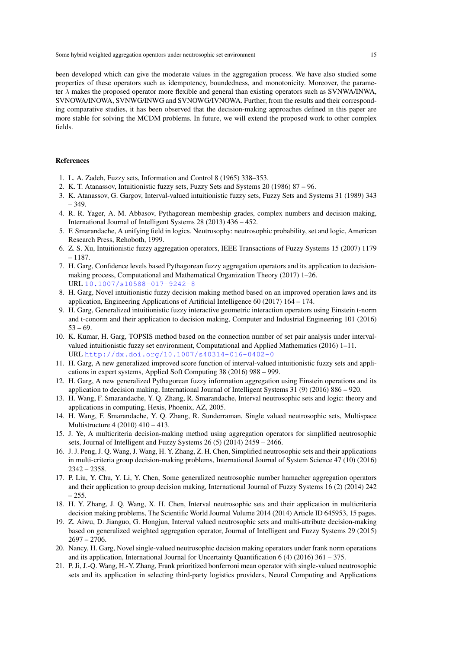been developed which can give the moderate values in the aggregation process. We have also studied some properties of these operators such as idempotency, boundedness, and monotonicity. Moreover, the parameter  $\lambda$  makes the proposed operator more flexible and general than existing operators such as SVNWA/INWA, SVNOWA/INOWA, SVNWG/INWG and SVNOWG/IVNOWA. Further, from the results and their corresponding comparative studies, it has been observed that the decision-making approaches defined in this paper are more stable for solving the MCDM problems. In future, we will extend the proposed work to other complex fields.

# References

- <span id="page-14-0"></span>1. L. A. Zadeh, Fuzzy sets, Information and Control 8 (1965) 338–353.
- <span id="page-14-1"></span>2. K. T. Atanassov, Intuitionistic fuzzy sets, Fuzzy Sets and Systems 20 (1986) 87 – 96.
- <span id="page-14-2"></span>3. K. Atanassov, G. Gargov, Interval-valued intuitionistic fuzzy sets, Fuzzy Sets and Systems 31 (1989) 343 – 349.
- <span id="page-14-3"></span>4. R. R. Yager, A. M. Abbasov, Pythagorean membeship grades, complex numbers and decision making, International Journal of Intelligent Systems 28 (2013) 436 – 452.
- <span id="page-14-4"></span>5. F. Smarandache, A unifying field in logics. Neutrosophy: neutrosophic probability, set and logic, American Research Press, Rehoboth, 1999.
- <span id="page-14-5"></span>6. Z. S. Xu, Intuitionistic fuzzy aggregation operators, IEEE Transactions of Fuzzy Systems 15 (2007) 1179 – 1187.
- <span id="page-14-6"></span>7. H. Garg, Confidence levels based Pythagorean fuzzy aggregation operators and its application to decisionmaking process, Computational and Mathematical Organization Theory (2017) 1–26. URL <10.1007/s10588-017-9242-8>
- <span id="page-14-7"></span>8. H. Garg, Novel intuitionistic fuzzy decision making method based on an improved operation laws and its application, Engineering Applications of Artificial Intelligence 60 (2017) 164 – 174.
- <span id="page-14-8"></span>9. H. Garg, Generalized intuitionistic fuzzy interactive geometric interaction operators using Einstein t-norm and t-conorm and their application to decision making, Computer and Industrial Engineering 101 (2016)  $53 - 69.$
- <span id="page-14-9"></span>10. K. Kumar, H. Garg, TOPSIS method based on the connection number of set pair analysis under intervalvalued intuitionistic fuzzy set environment, Computational and Applied Mathematics (2016) 1–11. URL <http://dx.doi.org/10.1007/s40314-016-0402-0>
- <span id="page-14-10"></span>11. H. Garg, A new generalized improved score function of interval-valued intuitionistic fuzzy sets and applications in expert systems, Applied Soft Computing 38 (2016) 988 – 999.
- <span id="page-14-11"></span>12. H. Garg, A new generalized Pythagorean fuzzy information aggregation using Einstein operations and its application to decision making, International Journal of Intelligent Systems 31 (9) (2016) 886 – 920.
- <span id="page-14-12"></span>13. H. Wang, F. Smarandache, Y. Q. Zhang, R. Smarandache, Interval neutrosophic sets and logic: theory and applications in computing, Hexis, Phoenix, AZ, 2005.
- <span id="page-14-13"></span>14. H. Wang, F. Smarandache, Y. Q. Zhang, R. Sunderraman, Single valued neutrosophic sets, Multispace Multistructure 4 (2010) 410 – 413.
- <span id="page-14-14"></span>15. J. Ye, A multicriteria decision-making method using aggregation operators for simplified neutrosophic sets, Journal of Intelligent and Fuzzy Systems 26 (5) (2014) 2459 – 2466.
- <span id="page-14-15"></span>16. J. J. Peng, J. Q. Wang, J. Wang, H. Y. Zhang, Z. H. Chen, Simplified neutrosophic sets and their applications in multi-criteria group decision-making problems, International Journal of System Science 47 (10) (2016) 2342 – 2358.
- <span id="page-14-16"></span>17. P. Liu, Y. Chu, Y. Li, Y. Chen, Some generalized neutrosophic number hamacher aggregation operators and their application to group decision making, International Journal of Fuzzy Systems 16 (2) (2014) 242 – 255.
- <span id="page-14-17"></span>18. H. Y. Zhang, J. Q. Wang, X. H. Chen, Interval neutrosophic sets and their application in multicriteria decision making problems, The Scientific World Journal Volume 2014 (2014) Article ID 645953, 15 pages.
- <span id="page-14-18"></span>19. Z. Aiwu, D. Jianguo, G. Hongjun, Interval valued neutrosophic sets and multi-attribute decision-making based on generalized weighted aggregation operator, Journal of Intelligent and Fuzzy Systems 29 (2015) 2697 – 2706.
- <span id="page-14-19"></span>20. Nancy, H. Garg, Novel single-valued neutrosophic decision making operators under frank norm operations and its application, International Journal for Uncertainty Quantification 6 (4) (2016) 361 – 375.
- <span id="page-14-20"></span>21. P. Ji, J.-Q. Wang, H.-Y. Zhang, Frank prioritized bonferroni mean operator with single-valued neutrosophic sets and its application in selecting third-party logistics providers, Neural Computing and Applications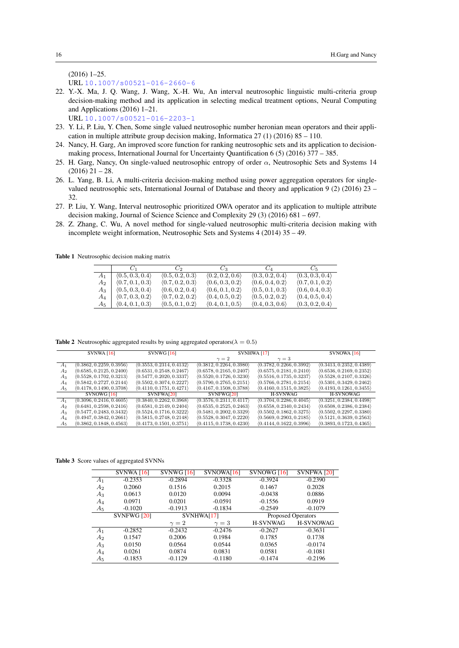(2016) 1–25.

URL <10.1007/s00521-016-2660-6>

- <span id="page-15-0"></span>22. Y.-X. Ma, J. Q. Wang, J. Wang, X.-H. Wu, An interval neutrosophic linguistic multi-criteria group decision-making method and its application in selecting medical treatment options, Neural Computing and Applications (2016) 1–21. URL <10.1007/s00521-016-2203-1>
- <span id="page-15-1"></span>23. Y. Li, P. Liu, Y. Chen, Some single valued neutrosophic number heronian mean operators and their application in multiple attribute group decision making, Informatica  $27(1)(2016) 85 - 110$ .
- <span id="page-15-2"></span>24. Nancy, H. Garg, An improved score function for ranking neutrosophic sets and its application to decisionmaking process, International Journal for Uncertainty Quantification 6 (5) (2016) 377 – 385.
- <span id="page-15-3"></span>25. H. Garg, Nancy, On single-valued neutrosophic entropy of order  $\alpha$ , Neutrosophic Sets and Systems 14  $(2016)$  21 – 28.
- <span id="page-15-4"></span>26. L. Yang, B. Li, A multi-criteria decision-making method using power aggregation operators for singlevalued neutrosophic sets, International Journal of Database and theory and application 9 (2) (2016) 23 – 32.
- <span id="page-15-5"></span>27. P. Liu, Y. Wang, Interval neutrosophic prioritized OWA operator and its application to multiple attribute decision making, Journal of Science Science and Complexity 29 (3) (2016) 681 – 697.
- <span id="page-15-6"></span>28. Z. Zhang, C. Wu, A novel method for single-valued neutrosophic multi-criteria decision making with incomplete weight information, Neutrosophic Sets and Systems 4 (2014) 35 – 49.

Table 1 Neutrosophic decision making matrix

<span id="page-15-7"></span>

|       | $\epsilon$ in                   | $C_2$                           | $C_3$                           | $C_A$                           | $C_{5}$                         |
|-------|---------------------------------|---------------------------------|---------------------------------|---------------------------------|---------------------------------|
| $A_1$ | (0.5, 0.3, 0.4)                 | $\langle 0.5, 0.2, 0.3 \rangle$ | (0.2, 0.2, 0.6)                 | (0.3, 0.2, 0.4)                 | (0.3, 0.3, 0.4)                 |
| $A_2$ | $\langle 0.7, 0.1, 0.3 \rangle$ | $\langle 0.7, 0.2, 0.3 \rangle$ | $\langle 0.6, 0.3, 0.2 \rangle$ | $\langle 0.6, 0.4, 0.2 \rangle$ | $\langle 0.7, 0.1, 0.2 \rangle$ |
| $A_3$ | (0.5, 0.3, 0.4)                 | $\langle 0.6, 0.2, 0.4 \rangle$ | $\langle 0.6, 0.1, 0.2 \rangle$ | $\langle 0.5, 0.1, 0.3 \rangle$ | $\langle 0.6, 0.4, 0.3 \rangle$ |
| $A_4$ | $\langle 0.7, 0.3, 0.2 \rangle$ | $\langle 0.7, 0.2, 0.2 \rangle$ | $\langle 0.4, 0.5, 0.2 \rangle$ | $\langle 0.5, 0.2, 0.2 \rangle$ | (0.4, 0.5, 0.4)                 |
| $A_5$ | $\langle 0.4, 0.1, 0.3 \rangle$ | $\langle 0.5, 0.1, 0.2 \rangle$ | $\langle 0.4, 0.1, 0.5 \rangle$ | $\langle 0.4, 0.3, 0.6 \rangle$ | $\langle 0.3, 0.2, 0.4 \rangle$ |

<span id="page-15-8"></span>Table 2 Neutrosophic aggregated results by using aggregated operators( $\lambda = 0.5$ )

|                | SVMWA[16]                | <b>SVNWG</b> [16]        | SVNHWA [17]              | SVNOWA [16]              |                          |
|----------------|--------------------------|--------------------------|--------------------------|--------------------------|--------------------------|
|                |                          |                          | $\gamma=2$               | $\gamma = 3$             |                          |
| A <sub>1</sub> | (0.3862, 0.2259, 0.3956) | (0.3553, 0.2314, 0.4132) | (0.3812, 0.2264, 0.3980) | (0.3782, 0.2266, 0.3992) | (0.3413, 0.2352, 0.4389) |
| A <sub>2</sub> | (0.6585, 0.2125, 0.2400) | (0.6531, 0.2548, 0.2467) | (0.6578, 0.2165, 0.2407) | (0.6575, 0.2181, 0.2410) | (0.6536, 0.2169, 0.2352) |
| $A_3$          | (0.5528, 0.1702, 0.3213) | (0.5477, 0.2020, 0.3337) | (0.5520, 0.1726, 0.3230) | (0.5516, 0.1735, 0.3237) | (0.5528, 0.2107, 0.3326) |
| $A_4$          | (0.5842, 0.2727, 0.2144) | (0.5502, 0.3074, 0.2227) | (0.5790, 0.2765, 0.2151) | (0.5766, 0.2781, 0.2154) | (0.5301, 0.3429, 0.2462) |
| $A_5$          | (0.4178, 0.1490, 0.3708) | (0.4110, 0.1751, 0.4271) | (0.4167, 0.1508, 0.3788) | (0.4160, 0.1515, 0.3825) | (0.4193, 0.1261, 0.3455) |
|                | SVNOWG[16]               | SVNFWA[20]               | SVNFWG[20]               | <b>H-SVNWAG</b>          | <b>H-SVNOWAG</b>         |
| $A_1$          | (0.3096, 0.2416, 0.4605) | (0.3840, 0.2262, 0.3968) | (0.3576, 0.2311, 0.4117) | (0.3704, 0.2286, 0.4045) | (0.3251, 0.2384, 0.4498) |
| A <sub>2</sub> | (0.6481, 0.2598, 0.2416) | (0.6581, 0.2149, 0.2404) | (0.6535, 0.2525, 0.2463) | (0.6558, 0.2340, 0.2434) | (0.6508, 0.2386, 0.2384) |
| $A_3$          | (0.5477, 0.2483, 0.3432) | (0.5524, 0.1716, 0.3222) | (0.5481, 0.2002, 0.3329) | (0.5502, 0.1862, 0.3275) | (0.5502, 0.2297, 0.3380) |
| $A_4$          | (0.4947, 0.3842, 0.2661) | (0.5815, 0.2748, 0.2148) | (0.5528, 0.3047, 0.2220) | (0.5669, 0.2903, 0.2185) | (0.5121, 0.3639, 0.2563) |
| $A_5$          | (0.3862, 0.1848, 0.4563) | (0.4173, 0.1501, 0.3751) | (0.4115, 0.1738, 0.4230) | (0.4144, 0.1622, 0.3996) | (0.3893, 0.1723, 0.4365) |

Table 3 Score values of aggregated SVNNs

<span id="page-15-9"></span>

|                | <b>SVNWA</b> [16]  | <b>SVNWG [16]</b> | SVNOWA[16] | SVNOWG [16]               | SVNFWA [20]      |  |
|----------------|--------------------|-------------------|------------|---------------------------|------------------|--|
| A <sub>1</sub> | $-0.2353$          | $-0.2894$         | $-0.3328$  | $-0.3924$                 | $-0.2390$        |  |
| $A_2$          | 0.2060             | 0.1516            | 0.2015     | 0.1467                    | 0.2028           |  |
| $A_3$          | 0.0613             | 0.0120            | 0.0094     | $-0.0438$                 | 0.0886           |  |
| $A_4$          | 0.0971             | 0.0201            | $-0.0591$  | $-0.1556$                 | 0.0919           |  |
| $A_5$          | $-0.1020$          | $-0.1913$         | $-0.1834$  | $-0.2549$                 | $-0.1079$        |  |
|                | <b>SVNFWG [20]</b> | SVNHWA[17]        |            | <b>Proposed Operators</b> |                  |  |
|                |                    |                   |            |                           |                  |  |
|                |                    | $\gamma=2$        | $\gamma=3$ | <b>H-SVNWAG</b>           | <b>H-SVNOWAG</b> |  |
| $A_1$          | $-0.2852$          | $-0.2432$         | $-0.2476$  | $-0.2627$                 | $-0.3631$        |  |
| $A_2$          | 0.1547             | 0.2006            | 0.1984     | 0.1785                    | 0.1738           |  |
| $A_3$          | 0.0150             | 0.0564            | 0.0544     | 0.0365                    | $-0.0174$        |  |
| $A_4$          | 0.0261             | 0.0874            | 0.0831     | 0.0581                    | $-0.1081$        |  |
| $A_5$          | $-0.1853$          | $-0.1129$         | $-0.1180$  | $-0.1474$                 | $-0.2196$        |  |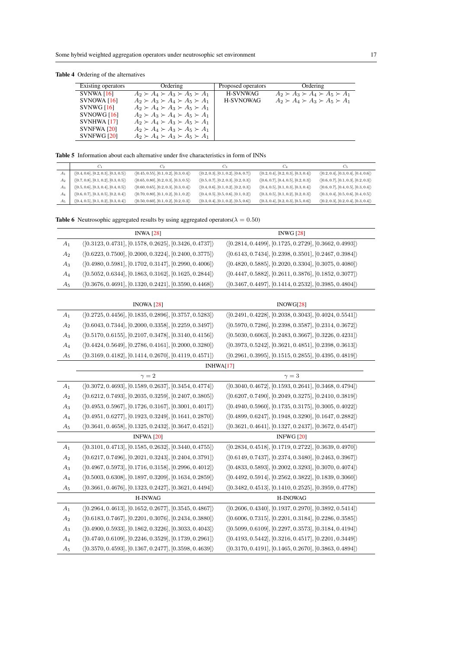Table 4 Ordering of the alternatives

<span id="page-16-0"></span>

| Existing operators | Ordering                                      | Proposed operators | Ordering                                      |
|--------------------|-----------------------------------------------|--------------------|-----------------------------------------------|
| SVMWA [16]         | $A_2 \succ A_4 \succ A_3 \succ A_5 \succ A_1$ | <b>H-SVNWAG</b>    | $A_2 \succ A_3 \succ A_4 \succ A_5 \succ A_1$ |
| $S$ VNOWA [16]     | $A_2 \succ A_3 \succ A_4 \succ A_5 \succ A_1$ | <b>H-SVNOWAG</b>   | $A_2 \succ A_4 \succ A_3 \succ A_5 \succ A_1$ |
| <b>SVNWG [16]</b>  | $A_2 \succ A_4 \succ A_3 \succ A_5 \succ A_1$ |                    |                                               |
| SVNOWG[16]         | $A_2 \succ A_3 \succ A_4 \succ A_5 \succ A_1$ |                    |                                               |
| <b>SVNHWA [17]</b> | $A_2 \succ A_4 \succ A_3 \succ A_5 \succ A_1$ |                    |                                               |
| <b>SVNFWA [20]</b> | $A_2 \succ A_4 \succ A_3 \succ A_5 \succ A_1$ |                    |                                               |
| SVNFWG [20]        | $A_2 \succ A_4 \succ A_3 \succ A_5 \succ A_1$ |                    |                                               |

<span id="page-16-1"></span>

|  |  |  |  |  | <b>Table 5</b> Information about each alternative under five characteristics in form of INNs |  |  |
|--|--|--|--|--|----------------------------------------------------------------------------------------------|--|--|
|--|--|--|--|--|----------------------------------------------------------------------------------------------|--|--|

|       | $C_1$                                                | С,                                                     | $C_3$                                                | $C_4$                                                | U5                                                   |
|-------|------------------------------------------------------|--------------------------------------------------------|------------------------------------------------------|------------------------------------------------------|------------------------------------------------------|
| Aı    | $\langle [0.4, 0.6], [0.2, 0.3], [0.3, 0.5] \rangle$ | $\langle [0.45, 0.55], [0.1, 0.2], [0.3, 0.4] \rangle$ | $\langle [0.2, 0.3], [0.1, 0.2], [0.6, 0.7] \rangle$ | $\langle [0.2, 0.4], [0.2, 0.3], [0.3, 0.4] \rangle$ | $\langle [0.2, 0.4], [0.3, 0.4], [0.4, 0.6] \rangle$ |
| $A_2$ | $\langle [0.7, 0.8], [0.1, 0.2], [0.3, 0.5] \rangle$ | $\langle [0.65, 0.80], [0.2, 0.3], [0.3, 0.5] \rangle$ | $\langle [0.5, 0.7], [0.2, 0.3], [0.2, 0.3] \rangle$ | $\langle [0.6, 0.7], [0.4, 0.5], [0.2, 0.3] \rangle$ | $\langle [0.6, 0.7], [0.1, 0.3], [0.2, 0.3] \rangle$ |
| Αз    | $\langle [0.5, 0.6], [0.3, 0.4], [0.4, 0.5] \rangle$ | $\langle [0.60, 0.65], [0.2, 0.3], [0.3, 0.4] \rangle$ | $\langle [0.4, 0.6], [0.1, 0.2], [0.2, 0.3] \rangle$ | $\langle [0.4, 0.5], [0.1, 0.3], [0.3, 0.4] \rangle$ | $\langle [0.6, 0.7], [0.4, 0.5], [0.3, 0.4] \rangle$ |
| Ал    | $\langle [0.6, 0.7], [0.3, 0.5], [0.2, 0.4] \rangle$ | $\langle [0.70, 0.80], [0.1, 0.2], [0.1, 0.2] \rangle$ | $\langle [0.4, 0.5], [0.5, 0.6], [0.1, 0.2] \rangle$ | $\langle [0.3, 0.5], [0.1, 0.2], [0.2, 0.3] \rangle$ | $\langle [0.3, 0.4], [0.5, 0.6], [0.4, 0.5] \rangle$ |
| $A_5$ | $\langle [0.4, 0.5], [0.1, 0.2], [0.3, 0.4] \rangle$ | $\langle [0.50, 0.60], [0.1, 0.2], [0.2, 0.3] \rangle$ | $\langle [0.3, 0.4], [0.1, 0.2], [0.5, 0.6] \rangle$ | $\langle [0.3, 0.4], [0.2, 0.3], [0.5, 0.6] \rangle$ | $\langle [0.2, 0.3], [0.2, 0.4], [0.3, 0.4] \rangle$ |

<span id="page-16-2"></span>

|  | <b>Table 6</b> Neutrosophic aggregated results by using aggregated operators( $\lambda = 0.50$ ) |  |  |  |  |  |  |  |  |
|--|--------------------------------------------------------------------------------------------------|--|--|--|--|--|--|--|--|
|--|--------------------------------------------------------------------------------------------------|--|--|--|--|--|--|--|--|

|       | <b>INWA</b> [28]                                                       | <b>INWG</b> [28]                                                       |
|-------|------------------------------------------------------------------------|------------------------------------------------------------------------|
| $A_1$ | $( [0.3123, 0.4731], [0.1578, 0.2625], [0.3426, 0.4737])$              | $(0.2814, 0.4499], [0.1725, 0.2729], [0.3662, 0.4993])$                |
| $A_2$ | $(0.6223, 0.7500], [0.2000, 0.3224], [0.2400, 0.3775])$                | $\langle [0.6143, 0.7434], [0.2398, 0.3501], [0.2467, 0.3984] \rangle$ |
| $A_3$ | $\langle [0.4980, 0.5981], [0.1702, 0.3147], [0.2990, 0.4006] \rangle$ | $\langle [0.4820, 0.5885], [0.2020, 0.3304], [0.3075, 0.4080] \rangle$ |
| $A_4$ | $\langle [0.5052, 0.6344], [0.1863, 0.3162], [0.1625, 0.2844] \rangle$ | $\langle [0.4447, 0.5882], [0.2611, 0.3876], [0.1852, 0.3077] \rangle$ |
| $A_5$ | $(0.3676, 0.4691], [0.1320, 0.2421], [0.3590, 0.4468])$                | $\langle [0.3467, 0.4497], [0.1414, 0.2532], [0.3985, 0.4804] \rangle$ |
|       |                                                                        |                                                                        |
|       | <b>INOWA</b> [28]                                                      | INOWG[28]                                                              |
| $A_1$ | $(0.2725, 0.4456], [0.1835, 0.2896], [0.3757, 0.5283])$                | $\langle [0.2491, 0.4228], [0.2038, 0.3043], [0.4024, 0.5541] \rangle$ |
| $A_2$ | $\langle [0.6043, 0.7344], [0.2000, 0.3358], [0.2259, 0.3497] \rangle$ | $(0.5970, 0.7286], [0.2398, 0.3587], [0.2314, 0.3672])$                |
| $A_3$ | $\langle [0.5170, 0.6155], [0.2107, 0.3478], [0.3140, 0.4156] \rangle$ | $\langle [0.5030, 0.6063], [0.2483, 0.3667], [0.3226, 0.4231] \rangle$ |
| $A_4$ | $(0.4424, 0.5649], [0.2786, 0.4161], [0.2000, 0.3280])$                | $\langle [0.3973, 0.5242], [0.3621, 0.4851], [0.2398, 0.3613] \rangle$ |
| $A_5$ | $\langle [0.3169, 0.4182], [0.1414, 0.2670], [0.4119, 0.4571] \rangle$ | $\langle [0.2961, 0.3995], [0.1515, 0.2855], [0.4395, 0.4819] \rangle$ |
|       |                                                                        | INHWA[17]                                                              |
|       | $\gamma=2$                                                             | $\gamma=3$                                                             |
| $A_1$ | $\langle [0.3072, 0.4693], [0.1589, 0.2637], [0.3454, 0.4774] \rangle$ | $\langle [0.3040, 0.4672], [0.1593, 0.2641], [0.3468, 0.4794] \rangle$ |
| $A_2$ | $(0.6212, 0.7493], [0.2035, 0.3259], [0.2407, 0.3805])$                | $(0.6207, 0.7490], [0.2049, 0.3275], [0.2410, 0.3819])$                |
| $A_3$ | $\langle [0.4953, 0.5967], [0.1726, 0.3167], [0.3001, 0.4017] \rangle$ | $\langle [0.4940, 0.5960], [0.1735, 0.3175], [0.3005, 0.4022] \rangle$ |
| $A_4$ | $\langle [0.4951, 0.6277], [0.1923, 0.3249], [0.1641, 0.2870] \rangle$ | $\langle [0.4899, 0.6247], [0.1948, 0.3290], [0.1647, 0.2882] \rangle$ |
| $A_5$ | $\langle [0.3641, 0.4658], [0.1325, 0.2432], [0.3647, 0.4521] \rangle$ | $\langle [0.3621, 0.4641], [0.1327, 0.2437], [0.3672, 0.4547] \rangle$ |
|       | <b>INFWA [20]</b>                                                      | <b>INFWG</b> [20]                                                      |
| $A_1$ | $\langle [0.3101, 0.4713], [0.1585, 0.2632], [0.3440, 0.4755] \rangle$ | $\langle [0.2834, 0.4518], [0.1719, 0.2722], [0.3639, 0.4970] \rangle$ |
| $A_2$ | $(0.6217, 0.7496], [0.2021, 0.3243], [0.2404, 0.3791])$                | $(0.6149, 0.7437], [0.2374, 0.3480], [0.2463, 0.3967])$                |
| $A_3$ | $\langle [0.4967, 0.5973], [0.1716, 0.3158], [0.2996, 0.4012] \rangle$ | $\langle [0.4833, 0.5893], [0.2002, 0.3293], [0.3070, 0.4074] \rangle$ |
| $A_4$ | $\langle [0.5003, 0.6308], [0.1897, 0.3209], [0.1634, 0.2859] \rangle$ | $\langle [0.4492, 0.5914], [0.2562, 0.3822], [0.1839, 0.3060] \rangle$ |
| $A_5$ | $\langle [0.3661, 0.4676], [0.1323, 0.2427], [0.3621, 0.4494] \rangle$ | $\langle [0.3482, 0.4513], [0.1410, 0.2525], [0.3959, 0.4778] \rangle$ |
|       | <b>H-INWAG</b>                                                         | <b>H-INOWAG</b>                                                        |
| $A_1$ | $(0.2964, 0.4613], [0.1652, 0.2677], [0.3545, 0.4867])$                | $\langle [0.2606, 0.4340], [0.1937, 0.2970], [0.3892, 0.5414] \rangle$ |
| $A_2$ | $(0.6183, 0.7467], [0.2201, 0.3076], [0.2434, 0.3880])$                | $(0.6006, 0.7315], [0.2201, 0.3184], [0.2286, 0.3585])$                |
| $A_3$ | $\langle [0.4900, 0.5933], [0.1862, 0.3226], [0.3033, 0.4043] \rangle$ | $\langle [0.5099, 0.6109], [0.2297, 0.3573], [0.3184, 0.4194] \rangle$ |
| $A_4$ | $\langle [0.4740, 0.6109], [0.2246, 0.3529], [0.1739, 0.2961] \rangle$ | $\langle [0.4193, 0.5442], [0.3216, 0.4517], [0.2201, 0.3449] \rangle$ |
| $A_5$ | $\langle [0.3570, 0.4593], [0.1367, 0.2477], [0.3598, 0.4639] \rangle$ | $\langle [0.3170, 0.4191], [0.1465, 0.2670], [0.3863, 0.4894] \rangle$ |